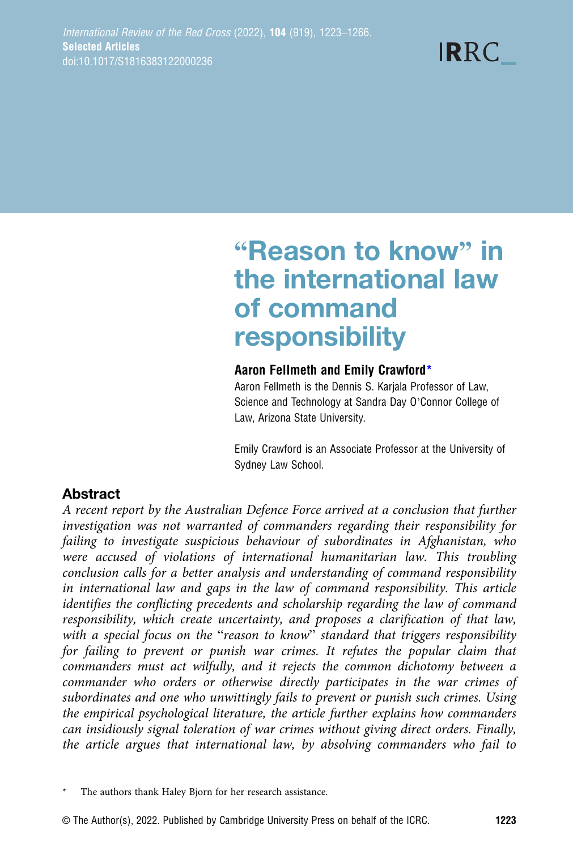# "Reason to know" in the international law of command responsibility

#### Aaron Fellmeth and Emily Crawford\*

Aaron Fellmeth is the Dennis S. Karjala Professor of Law, Science and Technology at Sandra Day O'Connor College of Law, Arizona State University.

Emily Crawford is an Associate Professor at the University of Sydney Law School.

# Abstract

A recent report by the Australian Defence Force arrived at a conclusion that further investigation was not warranted of commanders regarding their responsibility for failing to investigate suspicious behaviour of subordinates in Afghanistan, who were accused of violations of international humanitarian law. This troubling conclusion calls for a better analysis and understanding of command responsibility in international law and gaps in the law of command responsibility. This article identifies the conflicting precedents and scholarship regarding the law of command responsibility, which create uncertainty, and proposes a clarification of that law, with a special focus on the "reason to know" standard that triggers responsibility for failing to prevent or punish war crimes. It refutes the popular claim that commanders must act wilfully, and it rejects the common dichotomy between a commander who orders or otherwise directly participates in the war crimes of subordinates and one who unwittingly fails to prevent or punish such crimes. Using the empirical psychological literature, the article further explains how commanders can insidiously signal toleration of war crimes without giving direct orders. Finally, the article argues that international law, by absolving commanders who fail to

The authors thank Haley Bjorn for her research assistance.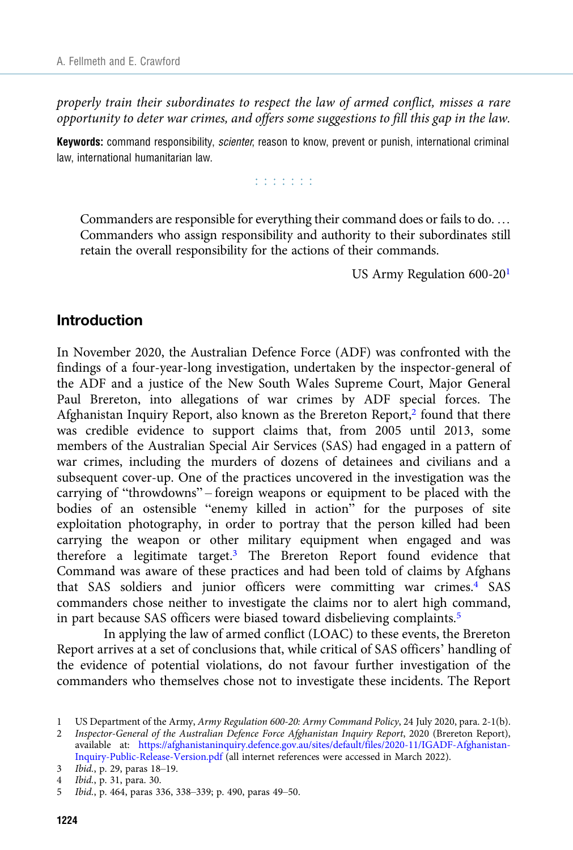properly train their subordinates to respect the law of armed conflict, misses a rare opportunity to deter war crimes, and offers some suggestions to fill this gap in the law.

Keywords: command responsibility, *scienter*, reason to know, prevent or punish, international criminal law, international humanitarian law.

r r r r r r r

Commanders are responsible for everything their command does or fails to do. … Commanders who assign responsibility and authority to their subordinates still retain the overall responsibility for the actions of their commands.

US Army Regulation 600-201

## Introduction

In November 2020, the Australian Defence Force (ADF) was confronted with the findings of a four-year-long investigation, undertaken by the inspector-general of the ADF and a justice of the New South Wales Supreme Court, Major General Paul Brereton, into allegations of war crimes by ADF special forces. The Afghanistan Inquiry Report, also known as the Brereton Report, $2$  found that there was credible evidence to support claims that, from 2005 until 2013, some members of the Australian Special Air Services (SAS) had engaged in a pattern of war crimes, including the murders of dozens of detainees and civilians and a subsequent cover-up. One of the practices uncovered in the investigation was the carrying of "throwdowns" – foreign weapons or equipment to be placed with the bodies of an ostensible "enemy killed in action" for the purposes of site exploitation photography, in order to portray that the person killed had been carrying the weapon or other military equipment when engaged and was therefore a legitimate target.3 The Brereton Report found evidence that Command was aware of these practices and had been told of claims by Afghans that SAS soldiers and junior officers were committing war crimes.<sup>4</sup> SAS commanders chose neither to investigate the claims nor to alert high command, in part because SAS officers were biased toward disbelieving complaints.<sup>5</sup>

In applying the law of armed conflict (LOAC) to these events, the Brereton Report arrives at a set of conclusions that, while critical of SAS officers' handling of the evidence of potential violations, do not favour further investigation of the commanders who themselves chose not to investigate these incidents. The Report

<sup>1</sup> US Department of the Army, Army Regulation 600-20: Army Command Policy, 24 July 2020, para. 2-1(b).

<sup>2</sup> Inspector-General of the Australian Defence Force Afghanistan Inquiry Report, 2020 (Brereton Report), available at: [https://afghanistaninquiry.defence.gov.au/sites/default/files/2020-11/IGADF-Afghanistan-](https://afghanistaninquiry.defence.gov.au/sites/default/files/2020-11/IGADF-Afghanistan-Inquiry-Public-Release-Version.pdf)[Inquiry-Public-Release-Version.pdf](https://afghanistaninquiry.defence.gov.au/sites/default/files/2020-11/IGADF-Afghanistan-Inquiry-Public-Release-Version.pdf) (all internet references were accessed in March 2022).

<sup>3</sup> Ibid., p. 29, paras 18–19.

<sup>4</sup> Ibid., p. 31, para. 30.

<sup>5</sup> Ibid., p. 464, paras 336, 338–339; p. 490, paras 49–50.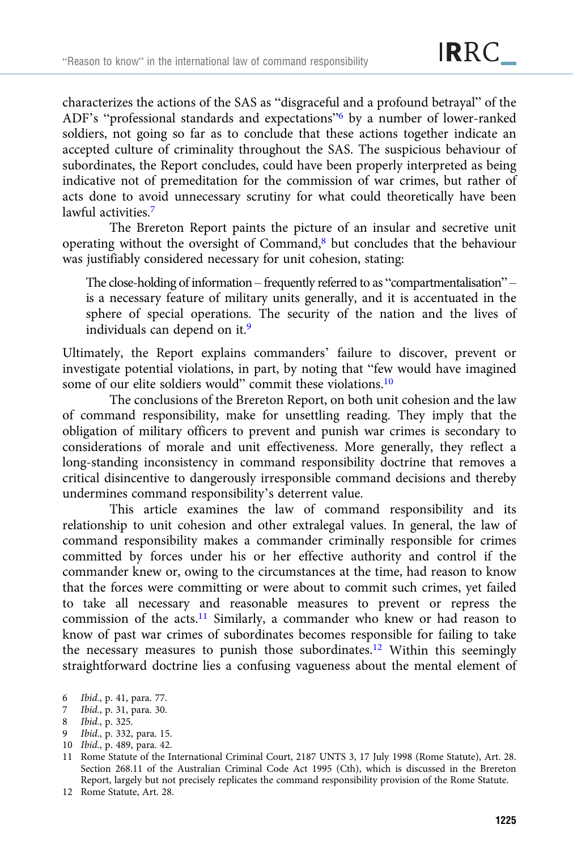characterizes the actions of the SAS as "disgraceful and a profound betrayal" of the ADF's "professional standards and expectations"<sup>6</sup> by a number of lower-ranked soldiers, not going so far as to conclude that these actions together indicate an accepted culture of criminality throughout the SAS. The suspicious behaviour of subordinates, the Report concludes, could have been properly interpreted as being indicative not of premeditation for the commission of war crimes, but rather of acts done to avoid unnecessary scrutiny for what could theoretically have been lawful activities.<sup>7</sup>

The Brereton Report paints the picture of an insular and secretive unit operating without the oversight of Command,8 but concludes that the behaviour was justifiably considered necessary for unit cohesion, stating:

The close-holding of information – frequently referred to as "compartmentalisation" – is a necessary feature of military units generally, and it is accentuated in the sphere of special operations. The security of the nation and the lives of individuals can depend on it.<sup>9</sup>

Ultimately, the Report explains commanders' failure to discover, prevent or investigate potential violations, in part, by noting that "few would have imagined some of our elite soldiers would" commit these violations.10

The conclusions of the Brereton Report, on both unit cohesion and the law of command responsibility, make for unsettling reading. They imply that the obligation of military officers to prevent and punish war crimes is secondary to considerations of morale and unit effectiveness. More generally, they reflect a long-standing inconsistency in command responsibility doctrine that removes a critical disincentive to dangerously irresponsible command decisions and thereby undermines command responsibility's deterrent value.

This article examines the law of command responsibility and its relationship to unit cohesion and other extralegal values. In general, the law of command responsibility makes a commander criminally responsible for crimes committed by forces under his or her effective authority and control if the commander knew or, owing to the circumstances at the time, had reason to know that the forces were committing or were about to commit such crimes, yet failed to take all necessary and reasonable measures to prevent or repress the commission of the acts.11 Similarly, a commander who knew or had reason to know of past war crimes of subordinates becomes responsible for failing to take the necessary measures to punish those subordinates.12 Within this seemingly straightforward doctrine lies a confusing vagueness about the mental element of

- 9 Ibid., p. 332, para. 15.
- 10 Ibid., p. 489, para. 42.

12 Rome Statute, Art. 28.

<sup>6</sup> Ibid., p. 41, para. 77.

<sup>7</sup> Ibid., p. 31, para. 30.

<sup>8</sup> Ibid., p. 325.

<sup>11</sup> Rome Statute of the International Criminal Court, 2187 UNTS 3, 17 July 1998 (Rome Statute), Art. 28. Section 268.11 of the Australian Criminal Code Act 1995 (Cth), which is discussed in the Brereton Report, largely but not precisely replicates the command responsibility provision of the Rome Statute.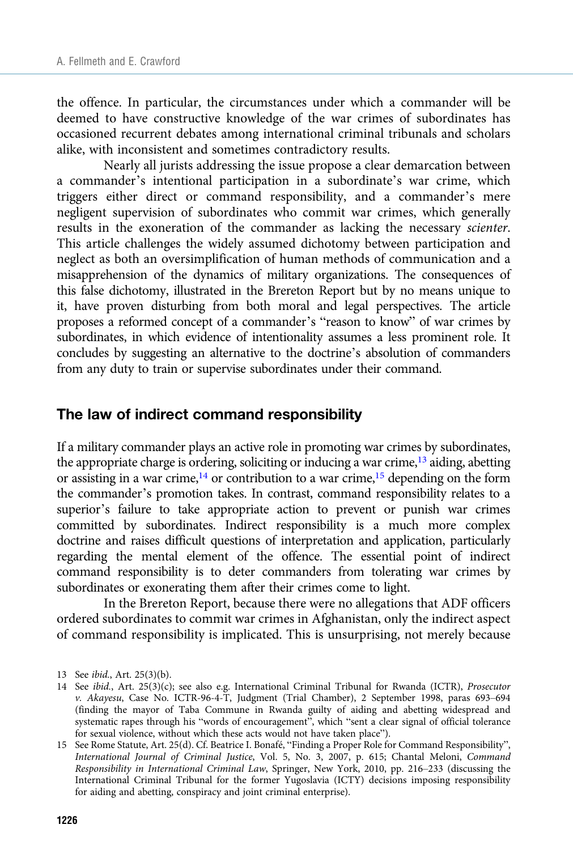the offence. In particular, the circumstances under which a commander will be deemed to have constructive knowledge of the war crimes of subordinates has occasioned recurrent debates among international criminal tribunals and scholars alike, with inconsistent and sometimes contradictory results.

Nearly all jurists addressing the issue propose a clear demarcation between a commander's intentional participation in a subordinate's war crime, which triggers either direct or command responsibility, and a commander's mere negligent supervision of subordinates who commit war crimes, which generally results in the exoneration of the commander as lacking the necessary scienter. This article challenges the widely assumed dichotomy between participation and neglect as both an oversimplification of human methods of communication and a misapprehension of the dynamics of military organizations. The consequences of this false dichotomy, illustrated in the Brereton Report but by no means unique to it, have proven disturbing from both moral and legal perspectives. The article proposes a reformed concept of a commander's "reason to know" of war crimes by subordinates, in which evidence of intentionality assumes a less prominent role. It concludes by suggesting an alternative to the doctrine's absolution of commanders from any duty to train or supervise subordinates under their command.

#### The law of indirect command responsibility

If a military commander plays an active role in promoting war crimes by subordinates, the appropriate charge is ordering, soliciting or inducing a war crime, $^{13}$  aiding, abetting or assisting in a war crime,<sup>14</sup> or contribution to a war crime,<sup>15</sup> depending on the form the commander's promotion takes. In contrast, command responsibility relates to a superior's failure to take appropriate action to prevent or punish war crimes committed by subordinates. Indirect responsibility is a much more complex doctrine and raises difficult questions of interpretation and application, particularly regarding the mental element of the offence. The essential point of indirect command responsibility is to deter commanders from tolerating war crimes by subordinates or exonerating them after their crimes come to light.

In the Brereton Report, because there were no allegations that ADF officers ordered subordinates to commit war crimes in Afghanistan, only the indirect aspect of command responsibility is implicated. This is unsurprising, not merely because

<sup>13</sup> See ibid., Art. 25(3)(b).

<sup>14</sup> See ibid., Art. 25(3)(c); see also e.g. International Criminal Tribunal for Rwanda (ICTR), Prosecutor v. Akayesu, Case No. ICTR-96-4-T, Judgment (Trial Chamber), 2 September 1998, paras 693–694 (finding the mayor of Taba Commune in Rwanda guilty of aiding and abetting widespread and systematic rapes through his "words of encouragement", which "sent a clear signal of official tolerance for sexual violence, without which these acts would not have taken place").

<sup>15</sup> See Rome Statute, Art. 25(d). Cf. Beatrice I. Bonafé, "Finding a Proper Role for Command Responsibility", International Journal of Criminal Justice, Vol. 5, No. 3, 2007, p. 615; Chantal Meloni, Command Responsibility in International Criminal Law, Springer, New York, 2010, pp. 216–233 (discussing the International Criminal Tribunal for the former Yugoslavia (ICTY) decisions imposing responsibility for aiding and abetting, conspiracy and joint criminal enterprise).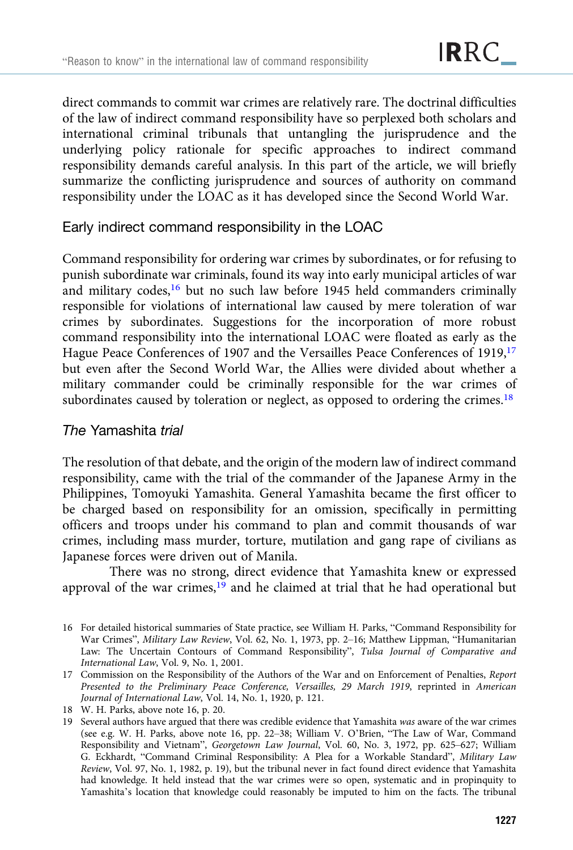direct commands to commit war crimes are relatively rare. The doctrinal difficulties of the law of indirect command responsibility have so perplexed both scholars and international criminal tribunals that untangling the jurisprudence and the underlying policy rationale for specific approaches to indirect command responsibility demands careful analysis. In this part of the article, we will briefly summarize the conflicting jurisprudence and sources of authority on command responsibility under the LOAC as it has developed since the Second World War.

## Early indirect command responsibility in the LOAC

Command responsibility for ordering war crimes by subordinates, or for refusing to punish subordinate war criminals, found its way into early municipal articles of war and military codes, $16$  but no such law before 1945 held commanders criminally responsible for violations of international law caused by mere toleration of war crimes by subordinates. Suggestions for the incorporation of more robust command responsibility into the international LOAC were floated as early as the Hague Peace Conferences of 1907 and the Versailles Peace Conferences of 1919,17 but even after the Second World War, the Allies were divided about whether a military commander could be criminally responsible for the war crimes of subordinates caused by toleration or neglect, as opposed to ordering the crimes.<sup>18</sup>

# The Yamashita trial

The resolution of that debate, and the origin of the modern law of indirect command responsibility, came with the trial of the commander of the Japanese Army in the Philippines, Tomoyuki Yamashita. General Yamashita became the first officer to be charged based on responsibility for an omission, specifically in permitting officers and troops under his command to plan and commit thousands of war crimes, including mass murder, torture, mutilation and gang rape of civilians as Japanese forces were driven out of Manila.

There was no strong, direct evidence that Yamashita knew or expressed approval of the war crimes, $19$  and he claimed at trial that he had operational but

<sup>16</sup> For detailed historical summaries of State practice, see William H. Parks, "Command Responsibility for War Crimes", Military Law Review, Vol. 62, No. 1, 1973, pp. 2–16; Matthew Lippman, "Humanitarian Law: The Uncertain Contours of Command Responsibility", Tulsa Journal of Comparative and International Law, Vol. 9, No. 1, 2001.

<sup>17</sup> Commission on the Responsibility of the Authors of the War and on Enforcement of Penalties, Report Presented to the Preliminary Peace Conference, Versailles, 29 March 1919, reprinted in American Journal of International Law, Vol. 14, No. 1, 1920, p. 121.

<sup>18</sup> W. H. Parks, above note 16, p. 20.

<sup>19</sup> Several authors have argued that there was credible evidence that Yamashita was aware of the war crimes (see e.g. W. H. Parks, above note 16, pp. 22–38; William V. O'Brien, "The Law of War, Command Responsibility and Vietnam", Georgetown Law Journal, Vol. 60, No. 3, 1972, pp. 625–627; William G. Eckhardt, "Command Criminal Responsibility: A Plea for a Workable Standard", Military Law Review, Vol. 97, No. 1, 1982, p. 19), but the tribunal never in fact found direct evidence that Yamashita had knowledge. It held instead that the war crimes were so open, systematic and in propinquity to Yamashita's location that knowledge could reasonably be imputed to him on the facts. The tribunal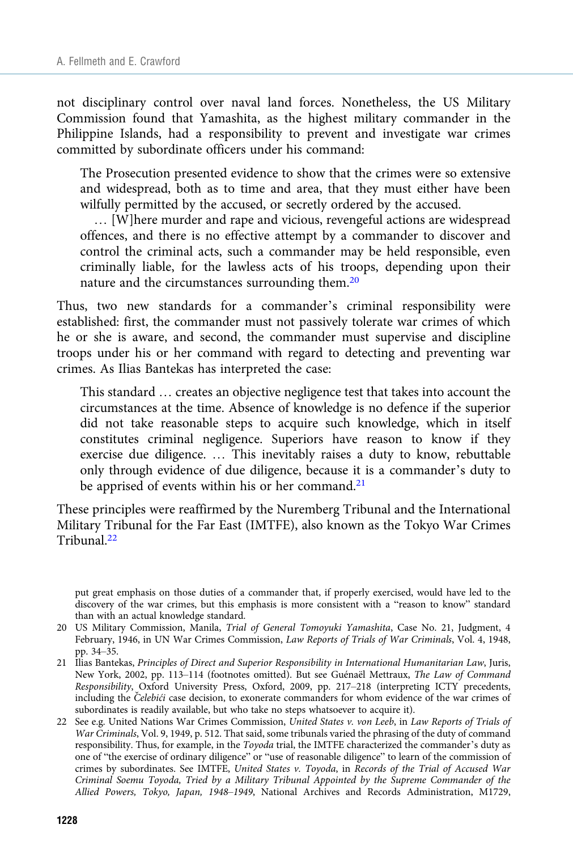not disciplinary control over naval land forces. Nonetheless, the US Military Commission found that Yamashita, as the highest military commander in the Philippine Islands, had a responsibility to prevent and investigate war crimes committed by subordinate officers under his command:

The Prosecution presented evidence to show that the crimes were so extensive and widespread, both as to time and area, that they must either have been wilfully permitted by the accused, or secretly ordered by the accused.

… [W]here murder and rape and vicious, revengeful actions are widespread offences, and there is no effective attempt by a commander to discover and control the criminal acts, such a commander may be held responsible, even criminally liable, for the lawless acts of his troops, depending upon their nature and the circumstances surrounding them.20

Thus, two new standards for a commander's criminal responsibility were established: first, the commander must not passively tolerate war crimes of which he or she is aware, and second, the commander must supervise and discipline troops under his or her command with regard to detecting and preventing war crimes. As Ilias Bantekas has interpreted the case:

This standard … creates an objective negligence test that takes into account the circumstances at the time. Absence of knowledge is no defence if the superior did not take reasonable steps to acquire such knowledge, which in itself constitutes criminal negligence. Superiors have reason to know if they exercise due diligence. … This inevitably raises a duty to know, rebuttable only through evidence of due diligence, because it is a commander's duty to be apprised of events within his or her command.<sup>21</sup>

These principles were reaffirmed by the Nuremberg Tribunal and the International Military Tribunal for the Far East (IMTFE), also known as the Tokyo War Crimes Tribunal.<sup>22</sup>

put great emphasis on those duties of a commander that, if properly exercised, would have led to the discovery of the war crimes, but this emphasis is more consistent with a "reason to know" standard than with an actual knowledge standard.

<sup>20</sup> US Military Commission, Manila, Trial of General Tomoyuki Yamashita, Case No. 21, Judgment, 4 February, 1946, in UN War Crimes Commission, Law Reports of Trials of War Criminals, Vol. 4, 1948, pp. 34–35.

<sup>21</sup> Ilias Bantekas, Principles of Direct and Superior Responsibility in International Humanitarian Law, Juris, New York, 2002, pp. 113–114 (footnotes omitted). But see Guénaël Mettraux, The Law of Command Responsibility, Oxford University Press, Oxford, 2009, pp. 217–218 (interpreting ICTY precedents, including the Celebići case decision, to exonerate commanders for whom evidence of the war crimes of subordinates is readily available, but who take no steps whatsoever to acquire it).

<sup>22</sup> See e.g. United Nations War Crimes Commission, United States v. von Leeb, in Law Reports of Trials of War Criminals, Vol. 9, 1949, p. 512. That said, some tribunals varied the phrasing of the duty of command responsibility. Thus, for example, in the Toyoda trial, the IMTFE characterized the commander's duty as one of "the exercise of ordinary diligence" or "use of reasonable diligence" to learn of the commission of crimes by subordinates. See IMTFE, United States v. Toyoda, in Records of the Trial of Accused War Criminal Soemu Toyoda, Tried by a Military Tribunal Appointed by the Supreme Commander of the Allied Powers, Tokyo, Japan, 1948–1949, National Archives and Records Administration, M1729,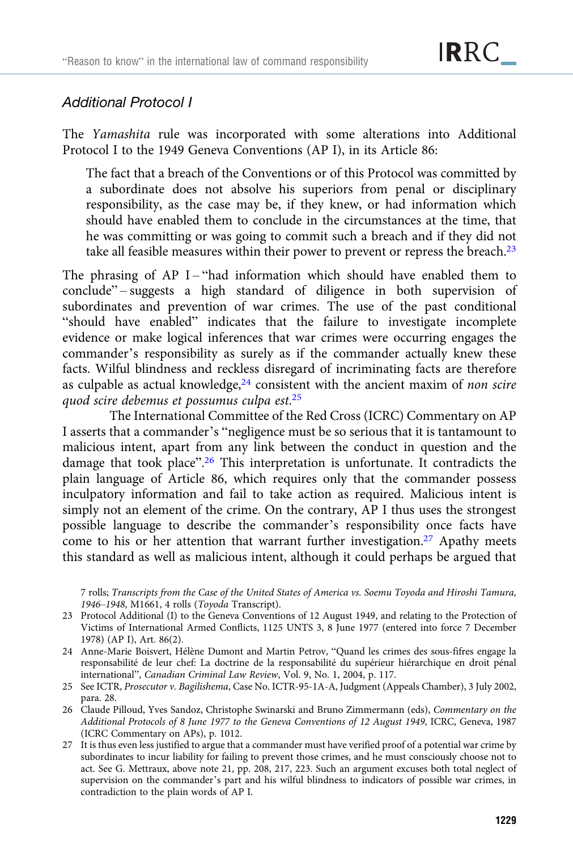## Additional Protocol I

The Yamashita rule was incorporated with some alterations into Additional Protocol I to the 1949 Geneva Conventions (AP I), in its Article 86:

The fact that a breach of the Conventions or of this Protocol was committed by a subordinate does not absolve his superiors from penal or disciplinary responsibility, as the case may be, if they knew, or had information which should have enabled them to conclude in the circumstances at the time, that he was committing or was going to commit such a breach and if they did not take all feasible measures within their power to prevent or repress the breach. $2<sup>3</sup>$ 

The phrasing of AP I-"had information which should have enabled them to conclude" – suggests a high standard of diligence in both supervision of subordinates and prevention of war crimes. The use of the past conditional "should have enabled" indicates that the failure to investigate incomplete evidence or make logical inferences that war crimes were occurring engages the commander's responsibility as surely as if the commander actually knew these facts. Wilful blindness and reckless disregard of incriminating facts are therefore as culpable as actual knowledge, $24$  consistent with the ancient maxim of non scire quod scire debemus et possumus culpa est.<sup>25</sup>

The International Committee of the Red Cross (ICRC) Commentary on AP I asserts that a commander's "negligence must be so serious that it is tantamount to malicious intent, apart from any link between the conduct in question and the damage that took place".<sup>26</sup> This interpretation is unfortunate. It contradicts the plain language of Article 86, which requires only that the commander possess inculpatory information and fail to take action as required. Malicious intent is simply not an element of the crime. On the contrary, AP I thus uses the strongest possible language to describe the commander's responsibility once facts have come to his or her attention that warrant further investigation.<sup>27</sup> Apathy meets this standard as well as malicious intent, although it could perhaps be argued that

7 rolls; Transcripts from the Case of the United States of America vs. Soemu Toyoda and Hiroshi Tamura, 1946–1948, M1661, 4 rolls (Toyoda Transcript).

- 23 Protocol Additional (I) to the Geneva Conventions of 12 August 1949, and relating to the Protection of Victims of International Armed Conflicts, 1125 UNTS 3, 8 June 1977 (entered into force 7 December 1978) (AP I), Art. 86(2).
- 24 Anne-Marie Boisvert, Hélène Dumont and Martin Petrov, "Quand les crimes des sous-fifres engage la responsabilité de leur chef: La doctrine de la responsabilité du supérieur hiérarchique en droit pénal international", Canadian Criminal Law Review, Vol. 9, No. 1, 2004, p. 117.
- 25 See ICTR, Prosecutor v. Bagilishema, Case No. ICTR-95-1A-A, Judgment (Appeals Chamber), 3 July 2002, para. 28.
- 26 Claude Pilloud, Yves Sandoz, Christophe Swinarski and Bruno Zimmermann (eds), Commentary on the Additional Protocols of 8 June 1977 to the Geneva Conventions of 12 August 1949, ICRC, Geneva, 1987 (ICRC Commentary on APs), p. 1012.
- 27 It is thus even less justified to argue that a commander must have verified proof of a potential war crime by subordinates to incur liability for failing to prevent those crimes, and he must consciously choose not to act. See G. Mettraux, above note 21, pp. 208, 217, 223. Such an argument excuses both total neglect of supervision on the commander's part and his wilful blindness to indicators of possible war crimes, in contradiction to the plain words of AP I.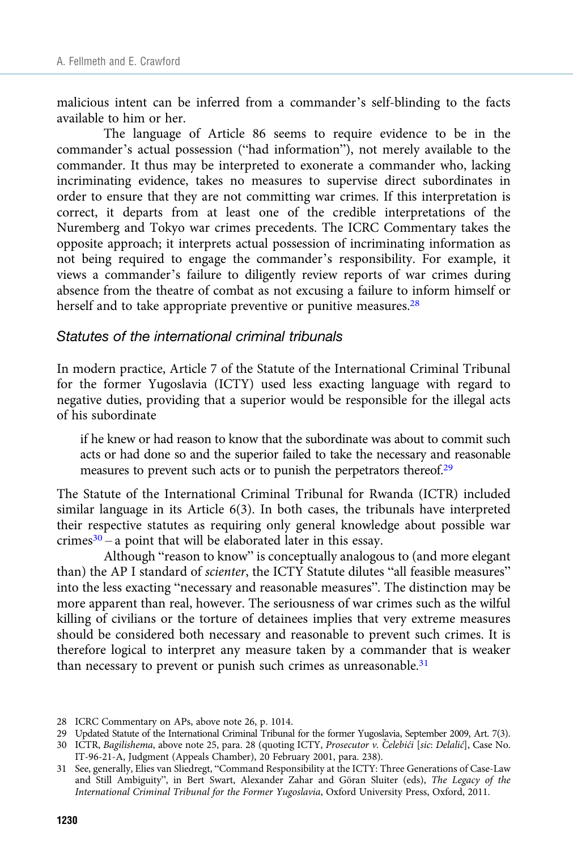malicious intent can be inferred from a commander's self-blinding to the facts available to him or her.

The language of Article 86 seems to require evidence to be in the commander's actual possession ("had information"), not merely available to the commander. It thus may be interpreted to exonerate a commander who, lacking incriminating evidence, takes no measures to supervise direct subordinates in order to ensure that they are not committing war crimes. If this interpretation is correct, it departs from at least one of the credible interpretations of the Nuremberg and Tokyo war crimes precedents. The ICRC Commentary takes the opposite approach; it interprets actual possession of incriminating information as not being required to engage the commander's responsibility. For example, it views a commander's failure to diligently review reports of war crimes during absence from the theatre of combat as not excusing a failure to inform himself or herself and to take appropriate preventive or punitive measures.<sup>28</sup>

#### Statutes of the international criminal tribunals

In modern practice, Article 7 of the Statute of the International Criminal Tribunal for the former Yugoslavia (ICTY) used less exacting language with regard to negative duties, providing that a superior would be responsible for the illegal acts of his subordinate

if he knew or had reason to know that the subordinate was about to commit such acts or had done so and the superior failed to take the necessary and reasonable measures to prevent such acts or to punish the perpetrators thereof.<sup>29</sup>

The Statute of the International Criminal Tribunal for Rwanda (ICTR) included similar language in its Article 6(3). In both cases, the tribunals have interpreted their respective statutes as requiring only general knowledge about possible war  $c$ rimes $30 - a$  point that will be elaborated later in this essay.

Although "reason to know" is conceptually analogous to (and more elegant than) the AP I standard of scienter, the ICTY Statute dilutes "all feasible measures" into the less exacting "necessary and reasonable measures". The distinction may be more apparent than real, however. The seriousness of war crimes such as the wilful killing of civilians or the torture of detainees implies that very extreme measures should be considered both necessary and reasonable to prevent such crimes. It is therefore logical to interpret any measure taken by a commander that is weaker than necessary to prevent or punish such crimes as unreasonable.<sup>31</sup>

<sup>28</sup> ICRC Commentary on APs, above note 26, p. 1014.

<sup>29</sup> Updated Statute of the International Criminal Tribunal for the former Yugoslavia, September 2009, Art. 7(3).

<sup>30</sup> ICTR, Bagilishema, above note 25, para. 28 (quoting ICTY, Prosecutor v. Čelebići [sic: Delalić], Case No. IT-96-21-A, Judgment (Appeals Chamber), 20 February 2001, para. 238).

<sup>31</sup> See, generally, Elies van Sliedregt, "Command Responsibility at the ICTY: Three Generations of Case-Law and Still Ambiguity", in Bert Swart, Alexander Zahar and Göran Sluiter (eds), The Legacy of the International Criminal Tribunal for the Former Yugoslavia, Oxford University Press, Oxford, 2011.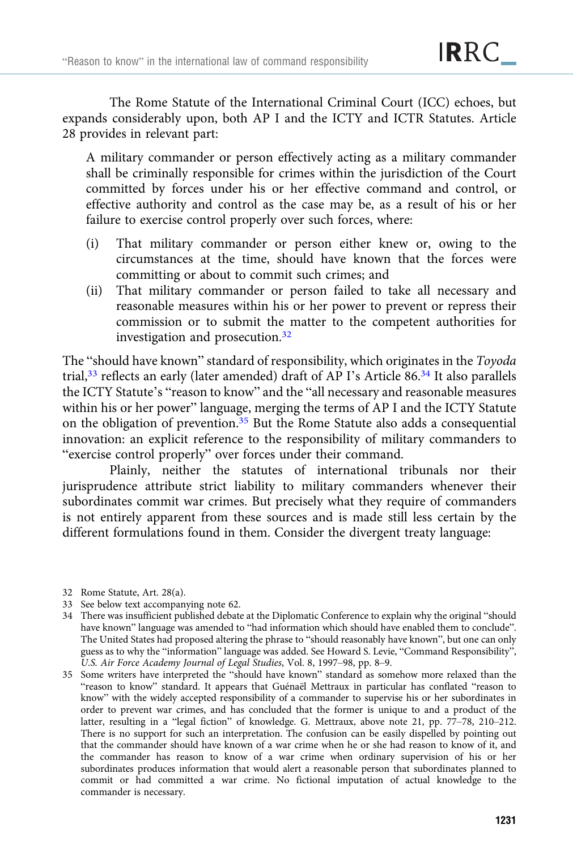The Rome Statute of the International Criminal Court (ICC) echoes, but expands considerably upon, both AP I and the ICTY and ICTR Statutes. Article 28 provides in relevant part:

A military commander or person effectively acting as a military commander shall be criminally responsible for crimes within the jurisdiction of the Court committed by forces under his or her effective command and control, or effective authority and control as the case may be, as a result of his or her failure to exercise control properly over such forces, where:

- (i) That military commander or person either knew or, owing to the circumstances at the time, should have known that the forces were committing or about to commit such crimes; and
- (ii) That military commander or person failed to take all necessary and reasonable measures within his or her power to prevent or repress their commission or to submit the matter to the competent authorities for investigation and prosecution.32

The "should have known" standard of responsibility, which originates in the Toyoda trial,<sup>33</sup> reflects an early (later amended) draft of AP I's Article 86.<sup>34</sup> It also parallels the ICTY Statute's "reason to know" and the "all necessary and reasonable measures within his or her power" language, merging the terms of AP I and the ICTY Statute on the obligation of prevention.35 But the Rome Statute also adds a consequential innovation: an explicit reference to the responsibility of military commanders to "exercise control properly" over forces under their command.

Plainly, neither the statutes of international tribunals nor their jurisprudence attribute strict liability to military commanders whenever their subordinates commit war crimes. But precisely what they require of commanders is not entirely apparent from these sources and is made still less certain by the different formulations found in them. Consider the divergent treaty language:

- 32 Rome Statute, Art. 28(a).
- 33 See below text accompanying note 62.
- 34 There was insufficient published debate at the Diplomatic Conference to explain why the original "should have known" language was amended to "had information which should have enabled them to conclude". The United States had proposed altering the phrase to "should reasonably have known", but one can only guess as to why the "information" language was added. See Howard S. Levie, "Command Responsibility", U.S. Air Force Academy Journal of Legal Studies, Vol. 8, 1997–98, pp. 8–9.
- 35 Some writers have interpreted the "should have known" standard as somehow more relaxed than the "reason to know" standard. It appears that Guénaël Mettraux in particular has conflated "reason to know" with the widely accepted responsibility of a commander to supervise his or her subordinates in order to prevent war crimes, and has concluded that the former is unique to and a product of the latter, resulting in a "legal fiction" of knowledge. G. Mettraux, above note 21, pp. 77–78, 210–212. There is no support for such an interpretation. The confusion can be easily dispelled by pointing out that the commander should have known of a war crime when he or she had reason to know of it, and the commander has reason to know of a war crime when ordinary supervision of his or her subordinates produces information that would alert a reasonable person that subordinates planned to commit or had committed a war crime. No fictional imputation of actual knowledge to the commander is necessary.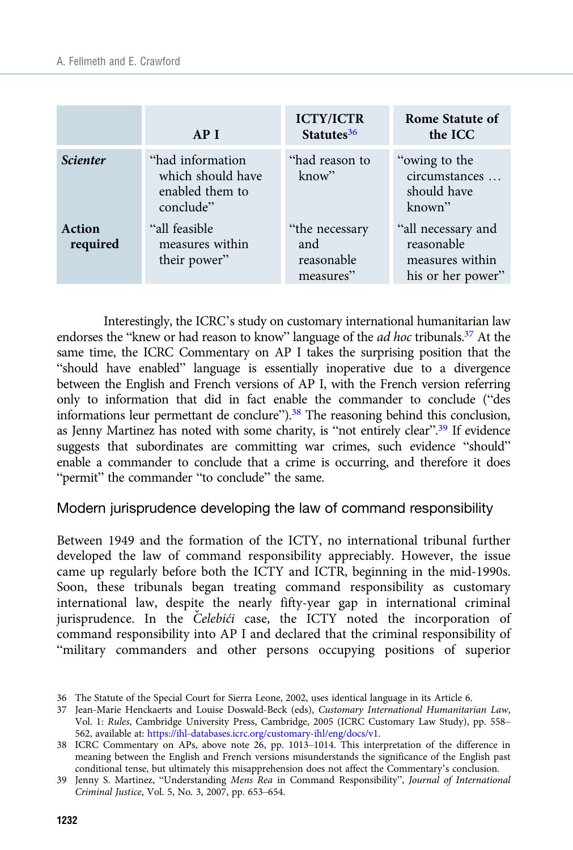|                    | AP I                                                                  | <b>ICTY/ICTR</b><br>Statutes <sup>36</sup>        | Rome Statute of<br>the ICC                                               |
|--------------------|-----------------------------------------------------------------------|---------------------------------------------------|--------------------------------------------------------------------------|
| <b>Scienter</b>    | "had information<br>which should have<br>enabled them to<br>conclude" | "had reason to<br>know"                           | "owing to the<br>circumstances<br>should have<br>known"                  |
| Action<br>required | "all feasible"<br>measures within<br>their power"                     | "the necessary"<br>and<br>reasonable<br>measures" | "all necessary and<br>reasonable<br>measures within<br>his or her power" |

Interestingly, the ICRC's study on customary international humanitarian law endorses the "knew or had reason to know" language of the *ad hoc* tribunals.<sup>37</sup> At the same time, the ICRC Commentary on AP I takes the surprising position that the "should have enabled" language is essentially inoperative due to a divergence between the English and French versions of AP I, with the French version referring only to information that did in fact enable the commander to conclude ("des informations leur permettant de conclure").38 The reasoning behind this conclusion, as Jenny Martinez has noted with some charity, is "not entirely clear".<sup>39</sup> If evidence suggests that subordinates are committing war crimes, such evidence "should" enable a commander to conclude that a crime is occurring, and therefore it does "permit" the commander "to conclude" the same.

Modern jurisprudence developing the law of command responsibility

Between 1949 and the formation of the ICTY, no international tribunal further developed the law of command responsibility appreciably. However, the issue came up regularly before both the ICTY and ICTR, beginning in the mid-1990s. Soon, these tribunals began treating command responsibility as customary international law, despite the nearly fifty-year gap in international criminal jurisprudence. In the Celebići case, the ICTY noted the incorporation of command responsibility into AP I and declared that the criminal responsibility of "military commanders and other persons occupying positions of superior

<sup>36</sup> The Statute of the Special Court for Sierra Leone, 2002, uses identical language in its Article 6.

<sup>37</sup> Jean-Marie Henckaerts and Louise Doswald-Beck (eds), Customary International Humanitarian Law, Vol. 1: Rules, Cambridge University Press, Cambridge, 2005 (ICRC Customary Law Study), pp. 558– 562, available at: <https://ihl-databases.icrc.org/customary-ihl/eng/docs/v1>.

<sup>38</sup> ICRC Commentary on APs, above note 26, pp. 1013–1014. This interpretation of the difference in meaning between the English and French versions misunderstands the significance of the English past conditional tense, but ultimately this misapprehension does not affect the Commentary's conclusion.

<sup>39</sup> Jenny S. Martinez, "Understanding Mens Rea in Command Responsibility", Journal of International Criminal Justice, Vol. 5, No. 3, 2007, pp. 653–654.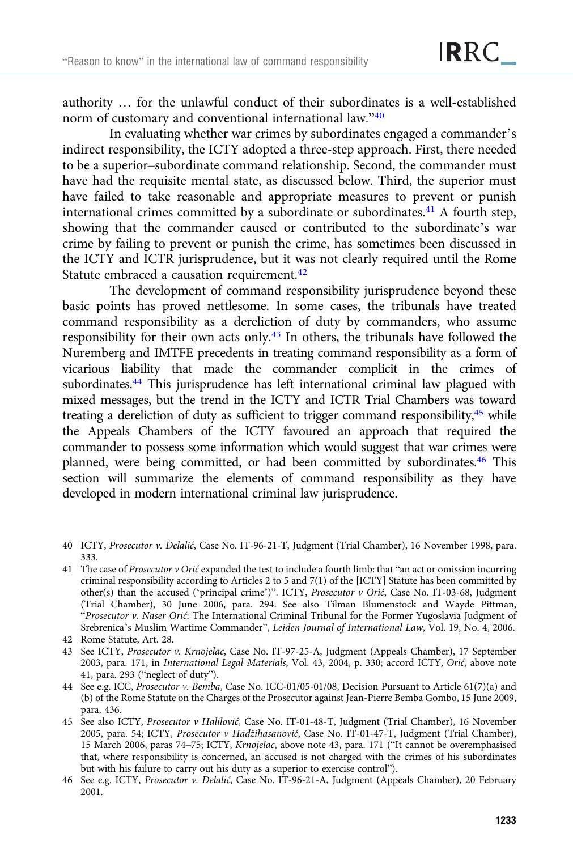authority … for the unlawful conduct of their subordinates is a well-established norm of customary and conventional international law."<sup>40</sup>

In evaluating whether war crimes by subordinates engaged a commander's indirect responsibility, the ICTY adopted a three-step approach. First, there needed to be a superior–subordinate command relationship. Second, the commander must have had the requisite mental state, as discussed below. Third, the superior must have failed to take reasonable and appropriate measures to prevent or punish international crimes committed by a subordinate or subordinates.<sup>41</sup> A fourth step, showing that the commander caused or contributed to the subordinate's war crime by failing to prevent or punish the crime, has sometimes been discussed in the ICTY and ICTR jurisprudence, but it was not clearly required until the Rome Statute embraced a causation requirement.<sup>42</sup>

The development of command responsibility jurisprudence beyond these basic points has proved nettlesome. In some cases, the tribunals have treated command responsibility as a dereliction of duty by commanders, who assume responsibility for their own acts only.43 In others, the tribunals have followed the Nuremberg and IMTFE precedents in treating command responsibility as a form of vicarious liability that made the commander complicit in the crimes of subordinates.44 This jurisprudence has left international criminal law plagued with mixed messages, but the trend in the ICTY and ICTR Trial Chambers was toward treating a dereliction of duty as sufficient to trigger command responsibility,45 while the Appeals Chambers of the ICTY favoured an approach that required the commander to possess some information which would suggest that war crimes were planned, were being committed, or had been committed by subordinates.46 This section will summarize the elements of command responsibility as they have developed in modern international criminal law jurisprudence.

- 40 ICTY, Prosecutor v. Delalić, Case No. IT-96-21-T, Judgment (Trial Chamber), 16 November 1998, para. 333.
- 41 The case of *Prosecutor v Orić* expanded the test to include a fourth limb: that "an act or omission incurring criminal responsibility according to Articles 2 to 5 and 7(1) of the [ICTY] Statute has been committed by other(s) than the accused ('principal crime')". ICTY, Prosecutor v Orić, Case No. IT-03-68, Judgment (Trial Chamber), 30 June 2006, para. 294. See also Tilman Blumenstock and Wayde Pittman, "Prosecutor v. Naser Orić: The International Criminal Tribunal for the Former Yugoslavia Judgment of Srebrenica's Muslim Wartime Commander", Leiden Journal of International Law, Vol. 19, No. 4, 2006.
- 42 Rome Statute, Art. 28.
- 43 See ICTY, Prosecutor v. Krnojelac, Case No. IT-97-25-A, Judgment (Appeals Chamber), 17 September 2003, para. 171, in International Legal Materials, Vol. 43, 2004, p. 330; accord ICTY, Orić, above note 41, para. 293 ("neglect of duty").
- 44 See e.g. ICC, Prosecutor v. Bemba, Case No. ICC-01/05-01/08, Decision Pursuant to Article 61(7)(a) and (b) of the Rome Statute on the Charges of the Prosecutor against Jean-Pierre Bemba Gombo, 15 June 2009, para. 436.
- 45 See also ICTY, Prosecutor v Halilović, Case No. IT-01-48-T, Judgment (Trial Chamber), 16 November 2005, para. 54; ICTY, Prosecutor v Hadžihasanović, Case No. IT-01-47-T, Judgment (Trial Chamber), 15 March 2006, paras 74–75; ICTY, Krnojelac, above note 43, para. 171 ("It cannot be overemphasised that, where responsibility is concerned, an accused is not charged with the crimes of his subordinates but with his failure to carry out his duty as a superior to exercise control").
- 46 See e.g. ICTY, Prosecutor v. Delalić, Case No. IT-96-21-A, Judgment (Appeals Chamber), 20 February 2001.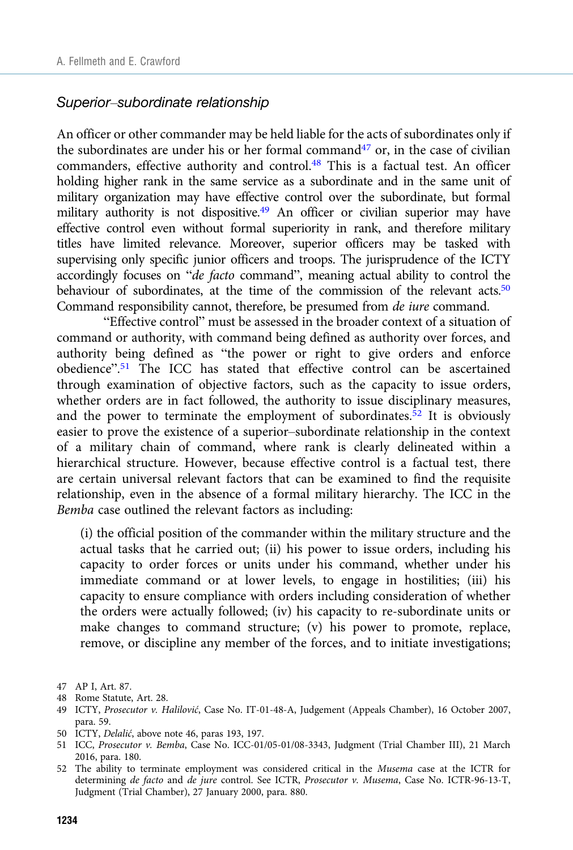#### Superior–subordinate relationship

An officer or other commander may be held liable for the acts of subordinates only if the subordinates are under his or her formal command<sup>47</sup> or, in the case of civilian commanders, effective authority and control.<sup>48</sup> This is a factual test. An officer holding higher rank in the same service as a subordinate and in the same unit of military organization may have effective control over the subordinate, but formal military authority is not dispositive.<sup>49</sup> An officer or civilian superior may have effective control even without formal superiority in rank, and therefore military titles have limited relevance. Moreover, superior officers may be tasked with supervising only specific junior officers and troops. The jurisprudence of the ICTY accordingly focuses on "de facto command", meaning actual ability to control the behaviour of subordinates, at the time of the commission of the relevant acts.<sup>50</sup> Command responsibility cannot, therefore, be presumed from de iure command.

"Effective control" must be assessed in the broader context of a situation of command or authority, with command being defined as authority over forces, and authority being defined as "the power or right to give orders and enforce obedience". <sup>51</sup> The ICC has stated that effective control can be ascertained through examination of objective factors, such as the capacity to issue orders, whether orders are in fact followed, the authority to issue disciplinary measures, and the power to terminate the employment of subordinates.<sup>52</sup> It is obviously easier to prove the existence of a superior–subordinate relationship in the context of a military chain of command, where rank is clearly delineated within a hierarchical structure. However, because effective control is a factual test, there are certain universal relevant factors that can be examined to find the requisite relationship, even in the absence of a formal military hierarchy. The ICC in the Bemba case outlined the relevant factors as including:

(i) the official position of the commander within the military structure and the actual tasks that he carried out; (ii) his power to issue orders, including his capacity to order forces or units under his command, whether under his immediate command or at lower levels, to engage in hostilities; (iii) his capacity to ensure compliance with orders including consideration of whether the orders were actually followed; (iv) his capacity to re-subordinate units or make changes to command structure; (v) his power to promote, replace, remove, or discipline any member of the forces, and to initiate investigations;

50 ICTY, Delalić, above note 46, paras 193, 197.

<sup>47</sup> AP I, Art. 87.

<sup>48</sup> Rome Statute, Art. 28.

<sup>49</sup> ICTY, Prosecutor v. Halilović, Case No. IT-01-48-A, Judgement (Appeals Chamber), 16 October 2007, para. 59.

<sup>51</sup> ICC, Prosecutor v. Bemba, Case No. ICC-01/05-01/08-3343, Judgment (Trial Chamber III), 21 March 2016, para. 180.

<sup>52</sup> The ability to terminate employment was considered critical in the Musema case at the ICTR for determining de facto and de jure control. See ICTR, Prosecutor v. Musema, Case No. ICTR-96-13-T, Judgment (Trial Chamber), 27 January 2000, para. 880.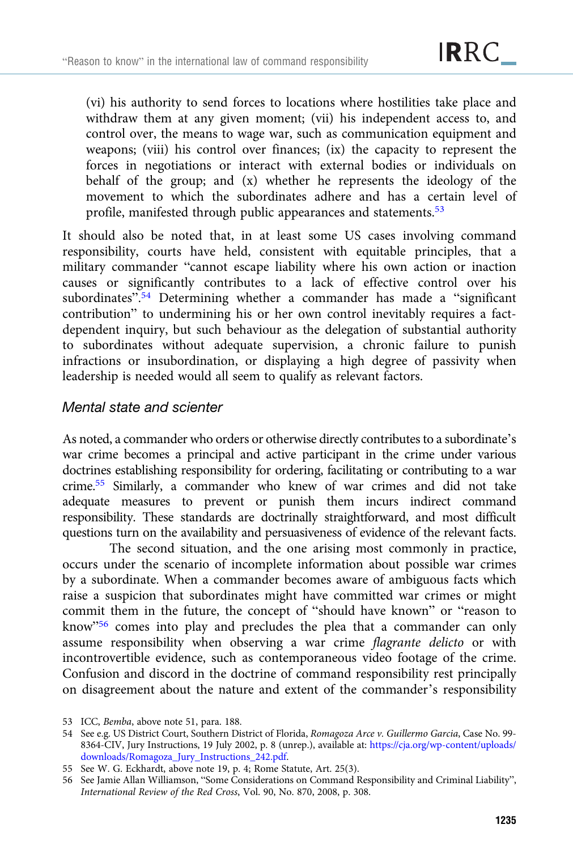(vi) his authority to send forces to locations where hostilities take place and withdraw them at any given moment; (vii) his independent access to, and control over, the means to wage war, such as communication equipment and weapons; (viii) his control over finances; (ix) the capacity to represent the forces in negotiations or interact with external bodies or individuals on behalf of the group; and (x) whether he represents the ideology of the movement to which the subordinates adhere and has a certain level of profile, manifested through public appearances and statements.<sup>53</sup>

It should also be noted that, in at least some US cases involving command responsibility, courts have held, consistent with equitable principles, that a military commander "cannot escape liability where his own action or inaction causes or significantly contributes to a lack of effective control over his subordinates". <sup>54</sup> Determining whether a commander has made a "significant contribution" to undermining his or her own control inevitably requires a factdependent inquiry, but such behaviour as the delegation of substantial authority to subordinates without adequate supervision, a chronic failure to punish infractions or insubordination, or displaying a high degree of passivity when leadership is needed would all seem to qualify as relevant factors.

# Mental state and scienter

As noted, a commander who orders or otherwise directly contributes to a subordinate's war crime becomes a principal and active participant in the crime under various doctrines establishing responsibility for ordering, facilitating or contributing to a war crime.55 Similarly, a commander who knew of war crimes and did not take adequate measures to prevent or punish them incurs indirect command responsibility. These standards are doctrinally straightforward, and most difficult questions turn on the availability and persuasiveness of evidence of the relevant facts.

The second situation, and the one arising most commonly in practice, occurs under the scenario of incomplete information about possible war crimes by a subordinate. When a commander becomes aware of ambiguous facts which raise a suspicion that subordinates might have committed war crimes or might commit them in the future, the concept of "should have known" or "reason to know"<sup>56</sup> comes into play and precludes the plea that a commander can only assume responsibility when observing a war crime flagrante delicto or with incontrovertible evidence, such as contemporaneous video footage of the crime. Confusion and discord in the doctrine of command responsibility rest principally on disagreement about the nature and extent of the commander's responsibility

<sup>53</sup> ICC, Bemba, above note 51, para. 188.

<sup>54</sup> See e.g. US District Court, Southern District of Florida, Romagoza Arce v. Guillermo Garcia, Case No. 99- 8364-CIV, Jury Instructions, 19 July 2002, p. 8 (unrep.), available at: [https://cja.org/wp-content/uploads/](https://cja.org/wp-content/uploads/downloads/Romagoza_Jury_Instructions_242.pdf) [downloads/Romagoza\\_Jury\\_Instructions\\_242.pdf.](https://cja.org/wp-content/uploads/downloads/Romagoza_Jury_Instructions_242.pdf)

<sup>55</sup> See W. G. Eckhardt, above note 19, p. 4; Rome Statute, Art. 25(3).

<sup>56</sup> See Jamie Allan Williamson, "Some Considerations on Command Responsibility and Criminal Liability", International Review of the Red Cross, Vol. 90, No. 870, 2008, p. 308.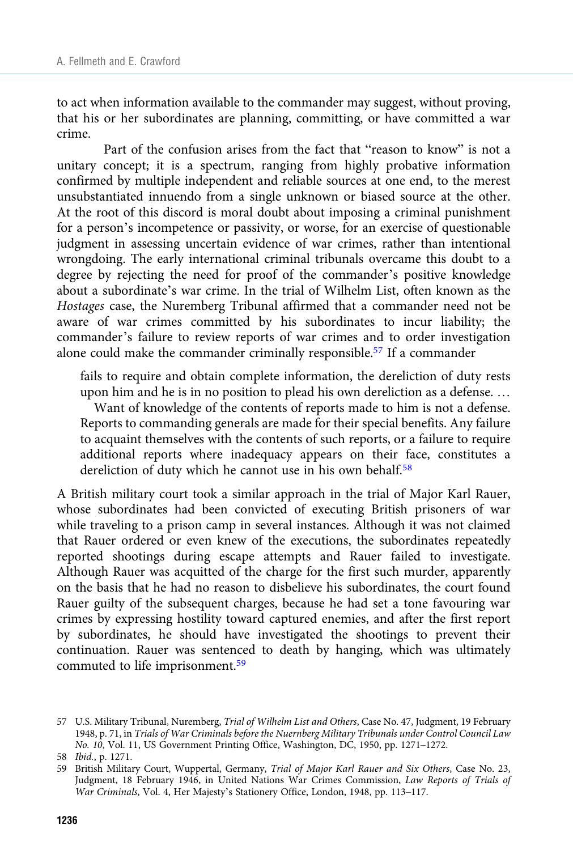to act when information available to the commander may suggest, without proving, that his or her subordinates are planning, committing, or have committed a war crime.

Part of the confusion arises from the fact that "reason to know" is not a unitary concept; it is a spectrum, ranging from highly probative information confirmed by multiple independent and reliable sources at one end, to the merest unsubstantiated innuendo from a single unknown or biased source at the other. At the root of this discord is moral doubt about imposing a criminal punishment for a person's incompetence or passivity, or worse, for an exercise of questionable judgment in assessing uncertain evidence of war crimes, rather than intentional wrongdoing. The early international criminal tribunals overcame this doubt to a degree by rejecting the need for proof of the commander's positive knowledge about a subordinate's war crime. In the trial of Wilhelm List, often known as the Hostages case, the Nuremberg Tribunal affirmed that a commander need not be aware of war crimes committed by his subordinates to incur liability; the commander's failure to review reports of war crimes and to order investigation alone could make the commander criminally responsible.57 If a commander

fails to require and obtain complete information, the dereliction of duty rests upon him and he is in no position to plead his own dereliction as a defense. … Want of knowledge of the contents of reports made to him is not a defense. Reports to commanding generals are made for their special benefits. Any failure to acquaint themselves with the contents of such reports, or a failure to require additional reports where inadequacy appears on their face, constitutes a dereliction of duty which he cannot use in his own behalf.<sup>58</sup>

A British military court took a similar approach in the trial of Major Karl Rauer, whose subordinates had been convicted of executing British prisoners of war while traveling to a prison camp in several instances. Although it was not claimed that Rauer ordered or even knew of the executions, the subordinates repeatedly reported shootings during escape attempts and Rauer failed to investigate. Although Rauer was acquitted of the charge for the first such murder, apparently on the basis that he had no reason to disbelieve his subordinates, the court found Rauer guilty of the subsequent charges, because he had set a tone favouring war crimes by expressing hostility toward captured enemies, and after the first report by subordinates, he should have investigated the shootings to prevent their continuation. Rauer was sentenced to death by hanging, which was ultimately commuted to life imprisonment.<sup>59</sup>

<sup>57</sup> U.S. Military Tribunal, Nuremberg, Trial of Wilhelm List and Others, Case No. 47, Judgment, 19 February 1948, p. 71, in Trials of War Criminals before the Nuernberg Military Tribunals under Control Council Law No. 10, Vol. 11, US Government Printing Office, Washington, DC, 1950, pp. 1271–1272.

<sup>58</sup> Ibid., p. 1271.

<sup>59</sup> British Military Court, Wuppertal, Germany, Trial of Major Karl Rauer and Six Others, Case No. 23, Judgment, 18 February 1946, in United Nations War Crimes Commission, Law Reports of Trials of War Criminals, Vol. 4, Her Majesty's Stationery Office, London, 1948, pp. 113–117.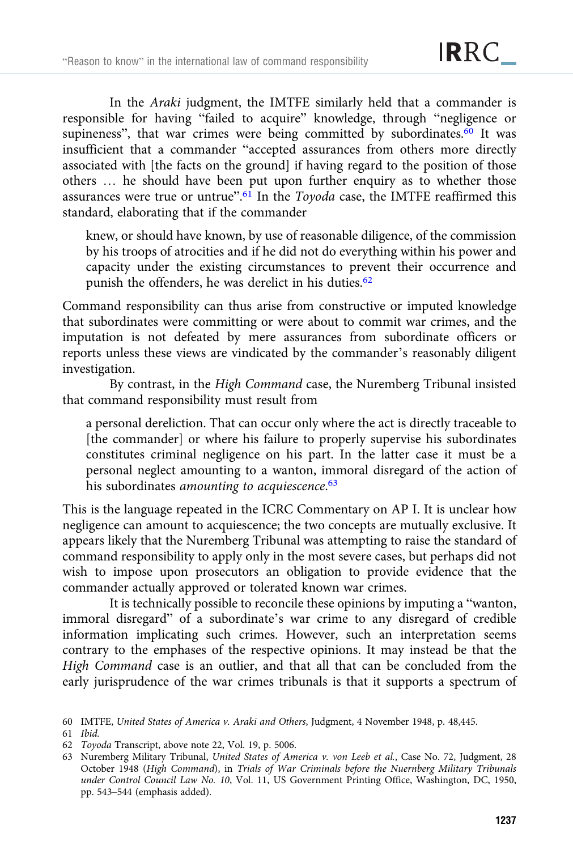In the *Araki* judgment, the IMTFE similarly held that a commander is responsible for having "failed to acquire" knowledge, through "negligence or supineness", that war crimes were being committed by subordinates. $60$  It was insufficient that a commander "accepted assurances from others more directly associated with [the facts on the ground] if having regard to the position of those others … he should have been put upon further enquiry as to whether those assurances were true or untrue".<sup>61</sup> In the Toyoda case, the IMTFE reaffirmed this standard, elaborating that if the commander

knew, or should have known, by use of reasonable diligence, of the commission by his troops of atrocities and if he did not do everything within his power and capacity under the existing circumstances to prevent their occurrence and punish the offenders, he was derelict in his duties.<sup>62</sup>

Command responsibility can thus arise from constructive or imputed knowledge that subordinates were committing or were about to commit war crimes, and the imputation is not defeated by mere assurances from subordinate officers or reports unless these views are vindicated by the commander's reasonably diligent investigation.

By contrast, in the High Command case, the Nuremberg Tribunal insisted that command responsibility must result from

a personal dereliction. That can occur only where the act is directly traceable to [the commander] or where his failure to properly supervise his subordinates constitutes criminal negligence on his part. In the latter case it must be a personal neglect amounting to a wanton, immoral disregard of the action of his subordinates amounting to acquiescence.<sup>63</sup>

This is the language repeated in the ICRC Commentary on AP I. It is unclear how negligence can amount to acquiescence; the two concepts are mutually exclusive. It appears likely that the Nuremberg Tribunal was attempting to raise the standard of command responsibility to apply only in the most severe cases, but perhaps did not wish to impose upon prosecutors an obligation to provide evidence that the commander actually approved or tolerated known war crimes.

It is technically possible to reconcile these opinions by imputing a "wanton, immoral disregard" of a subordinate's war crime to any disregard of credible information implicating such crimes. However, such an interpretation seems contrary to the emphases of the respective opinions. It may instead be that the High Command case is an outlier, and that all that can be concluded from the early jurisprudence of the war crimes tribunals is that it supports a spectrum of

<sup>60</sup> IMTFE, United States of America v. Araki and Others, Judgment, 4 November 1948, p. 48,445.

<sup>61</sup> Ibid.

<sup>62</sup> Toyoda Transcript, above note 22, Vol. 19, p. 5006.

<sup>63</sup> Nuremberg Military Tribunal, United States of America v. von Leeb et al., Case No. 72, Judgment, 28 October 1948 (High Command), in Trials of War Criminals before the Nuernberg Military Tribunals under Control Council Law No. 10, Vol. 11, US Government Printing Office, Washington, DC, 1950, pp. 543–544 (emphasis added).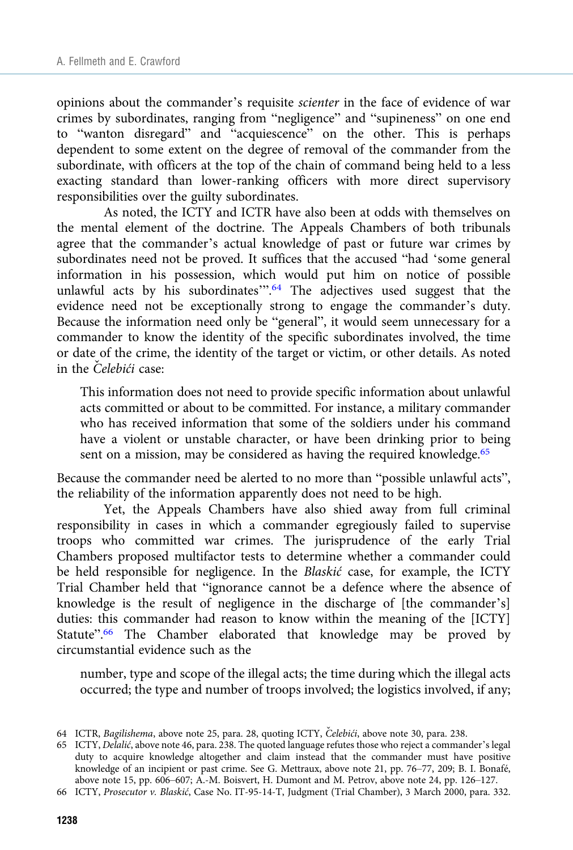opinions about the commander's requisite scienter in the face of evidence of war crimes by subordinates, ranging from "negligence" and "supineness" on one end to "wanton disregard" and "acquiescence" on the other. This is perhaps dependent to some extent on the degree of removal of the commander from the subordinate, with officers at the top of the chain of command being held to a less exacting standard than lower-ranking officers with more direct supervisory responsibilities over the guilty subordinates.

As noted, the ICTY and ICTR have also been at odds with themselves on the mental element of the doctrine. The Appeals Chambers of both tribunals agree that the commander's actual knowledge of past or future war crimes by subordinates need not be proved. It suffices that the accused "had 'some general information in his possession, which would put him on notice of possible unlawful acts by his subordinates".<sup>64</sup> The adjectives used suggest that the evidence need not be exceptionally strong to engage the commander's duty. Because the information need only be "general", it would seem unnecessary for a commander to know the identity of the specific subordinates involved, the time or date of the crime, the identity of the target or victim, or other details. As noted in the Čelebići case:

This information does not need to provide specific information about unlawful acts committed or about to be committed. For instance, a military commander who has received information that some of the soldiers under his command have a violent or unstable character, or have been drinking prior to being sent on a mission, may be considered as having the required knowledge.<sup>65</sup>

Because the commander need be alerted to no more than "possible unlawful acts", the reliability of the information apparently does not need to be high.

Yet, the Appeals Chambers have also shied away from full criminal responsibility in cases in which a commander egregiously failed to supervise troops who committed war crimes. The jurisprudence of the early Trial Chambers proposed multifactor tests to determine whether a commander could be held responsible for negligence. In the Blaskić case, for example, the ICTY Trial Chamber held that "ignorance cannot be a defence where the absence of knowledge is the result of negligence in the discharge of [the commander's] duties: this commander had reason to know within the meaning of the [ICTY] Statute".<sup>66</sup> The Chamber elaborated that knowledge may be proved by circumstantial evidence such as the

number, type and scope of the illegal acts; the time during which the illegal acts occurred; the type and number of troops involved; the logistics involved, if any;

<sup>64</sup> ICTR, Bagilishema, above note 25, para. 28, quoting ICTY, Čelebići, above note 30, para. 238.

<sup>65</sup> ICTY, Delalić, above note 46, para. 238. The quoted language refutes those who reject a commander's legal duty to acquire knowledge altogether and claim instead that the commander must have positive knowledge of an incipient or past crime. See G. Mettraux, above note 21, pp. 76–77, 209; B. I. Bonafé, above note 15, pp. 606–607; A.-M. Boisvert, H. Dumont and M. Petrov, above note 24, pp. 126–127.

<sup>66</sup> ICTY, Prosecutor v. Blaskić, Case No. IT-95-14-T, Judgment (Trial Chamber), 3 March 2000, para. 332.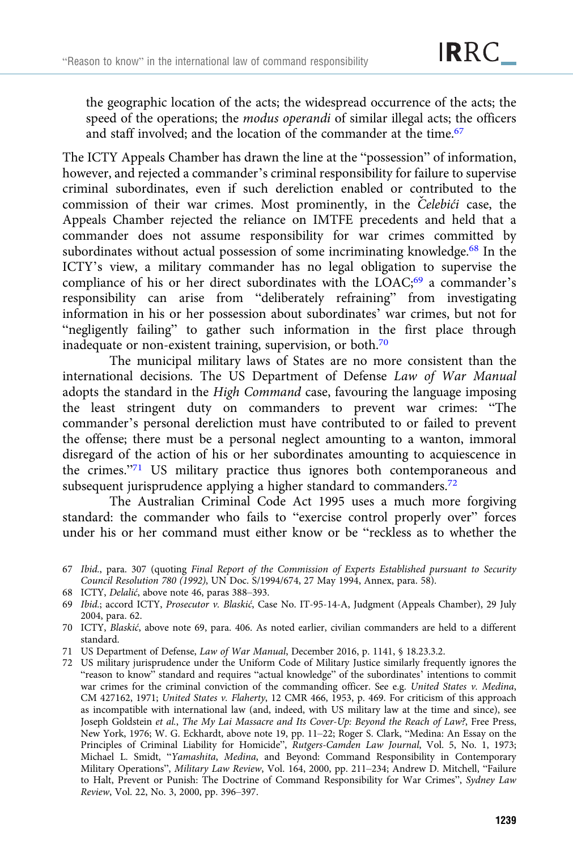the geographic location of the acts; the widespread occurrence of the acts; the speed of the operations; the *modus operandi* of similar illegal acts; the officers and staff involved; and the location of the commander at the time.<sup>67</sup>

The ICTY Appeals Chamber has drawn the line at the "possession" of information, however, and rejected a commander's criminal responsibility for failure to supervise criminal subordinates, even if such dereliction enabled or contributed to the commission of their war crimes. Most prominently, in the Čelebići case, the Appeals Chamber rejected the reliance on IMTFE precedents and held that a commander does not assume responsibility for war crimes committed by subordinates without actual possession of some incriminating knowledge.<sup>68</sup> In the ICTY's view, a military commander has no legal obligation to supervise the compliance of his or her direct subordinates with the LOAC;<sup>69</sup> a commander's responsibility can arise from "deliberately refraining" from investigating information in his or her possession about subordinates' war crimes, but not for "negligently failing" to gather such information in the first place through inadequate or non-existent training, supervision, or both.70

The municipal military laws of States are no more consistent than the international decisions. The US Department of Defense Law of War Manual adopts the standard in the High Command case, favouring the language imposing the least stringent duty on commanders to prevent war crimes: "The commander's personal dereliction must have contributed to or failed to prevent the offense; there must be a personal neglect amounting to a wanton, immoral disregard of the action of his or her subordinates amounting to acquiescence in the crimes."<sup>71</sup> US military practice thus ignores both contemporaneous and subsequent jurisprudence applying a higher standard to commanders.<sup>72</sup>

The Australian Criminal Code Act 1995 uses a much more forgiving standard: the commander who fails to "exercise control properly over" forces under his or her command must either know or be "reckless as to whether the

68 ICTY, Delalić, above note 46, paras 388–393.

- 71 US Department of Defense, Law of War Manual, December 2016, p. 1141, § 18.23.3.2.
- 72 US military jurisprudence under the Uniform Code of Military Justice similarly frequently ignores the "reason to know" standard and requires "actual knowledge" of the subordinates' intentions to commit war crimes for the criminal conviction of the commanding officer. See e.g. United States v. Medina, CM 427162, 1971; United States v. Flaherty, 12 CMR 466, 1953, p. 469. For criticism of this approach as incompatible with international law (and, indeed, with US military law at the time and since), see Joseph Goldstein et al., The My Lai Massacre and Its Cover-Up: Beyond the Reach of Law?, Free Press, New York, 1976; W. G. Eckhardt, above note 19, pp. 11–22; Roger S. Clark, "Medina: An Essay on the Principles of Criminal Liability for Homicide", Rutgers-Camden Law Journal, Vol. 5, No. 1, 1973; Michael L. Smidt, "Yamashita, Medina, and Beyond: Command Responsibility in Contemporary Military Operations", Military Law Review, Vol. 164, 2000, pp. 211–234; Andrew D. Mitchell, "Failure to Halt, Prevent or Punish: The Doctrine of Command Responsibility for War Crimes", Sydney Law Review, Vol. 22, No. 3, 2000, pp. 396–397.

<sup>67</sup> Ibid., para. 307 (quoting Final Report of the Commission of Experts Established pursuant to Security Council Resolution 780 (1992), UN Doc. S/1994/674, 27 May 1994, Annex, para. 58).

<sup>69</sup> Ibid.; accord ICTY, Prosecutor v. Blaskić, Case No. IT-95-14-A, Judgment (Appeals Chamber), 29 July 2004, para. 62.

<sup>70</sup> ICTY, Blaskić, above note 69, para. 406. As noted earlier, civilian commanders are held to a different standard.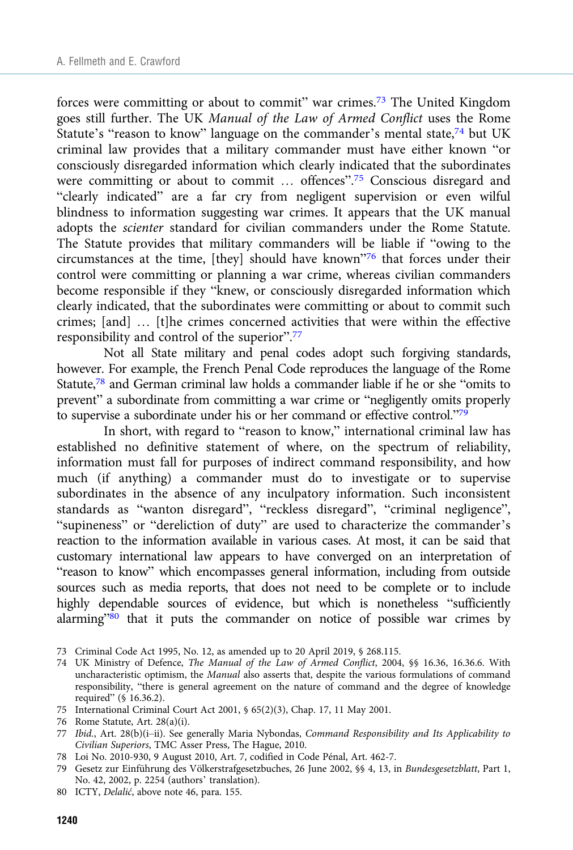forces were committing or about to commit" war crimes.73 The United Kingdom goes still further. The UK Manual of the Law of Armed Conflict uses the Rome Statute's "reason to know" language on the commander's mental state,  $74$  but UK criminal law provides that a military commander must have either known "or consciously disregarded information which clearly indicated that the subordinates were committing or about to commit ... offences".<sup>75</sup> Conscious disregard and "clearly indicated" are a far cry from negligent supervision or even wilful blindness to information suggesting war crimes. It appears that the UK manual adopts the scienter standard for civilian commanders under the Rome Statute. The Statute provides that military commanders will be liable if "owing to the circumstances at the time, [they] should have known"<sup>76</sup> that forces under their control were committing or planning a war crime, whereas civilian commanders become responsible if they "knew, or consciously disregarded information which clearly indicated, that the subordinates were committing or about to commit such crimes; [and] … [t]he crimes concerned activities that were within the effective responsibility and control of the superior".<sup>77</sup>

Not all State military and penal codes adopt such forgiving standards, however. For example, the French Penal Code reproduces the language of the Rome Statute,78 and German criminal law holds a commander liable if he or she "omits to prevent" a subordinate from committing a war crime or "negligently omits properly to supervise a subordinate under his or her command or effective control."<sup>79</sup>

In short, with regard to "reason to know," international criminal law has established no definitive statement of where, on the spectrum of reliability, information must fall for purposes of indirect command responsibility, and how much (if anything) a commander must do to investigate or to supervise subordinates in the absence of any inculpatory information. Such inconsistent standards as "wanton disregard", "reckless disregard", "criminal negligence", "supineness" or "dereliction of duty" are used to characterize the commander's reaction to the information available in various cases. At most, it can be said that customary international law appears to have converged on an interpretation of "reason to know" which encompasses general information, including from outside sources such as media reports, that does not need to be complete or to include highly dependable sources of evidence, but which is nonetheless "sufficiently alarming"80 that it puts the commander on notice of possible war crimes by

- 77 Ibid., Art. 28(b)(i–ii). See generally Maria Nybondas, Command Responsibility and Its Applicability to Civilian Superiors, TMC Asser Press, The Hague, 2010.
- 78 Loi No. 2010-930, 9 August 2010, Art. 7, codified in Code Pénal, Art. 462-7.
- 79 Gesetz zur Einführung des Völkerstrafgesetzbuches, 26 June 2002, §§ 4, 13, in Bundesgesetzblatt, Part 1, No. 42, 2002, p. 2254 (authors' translation).
- 80 ICTY, Delalić, above note 46, para. 155.

<sup>73</sup> Criminal Code Act 1995, No. 12, as amended up to 20 April 2019, § 268.115.

<sup>74</sup> UK Ministry of Defence, The Manual of the Law of Armed Conflict, 2004, §§ 16.36, 16.36.6. With uncharacteristic optimism, the Manual also asserts that, despite the various formulations of command responsibility, "there is general agreement on the nature of command and the degree of knowledge required" (§ 16.36.2).

<sup>75</sup> International Criminal Court Act 2001, § 65(2)(3), Chap. 17, 11 May 2001.

<sup>76</sup> Rome Statute, Art. 28(a)(i).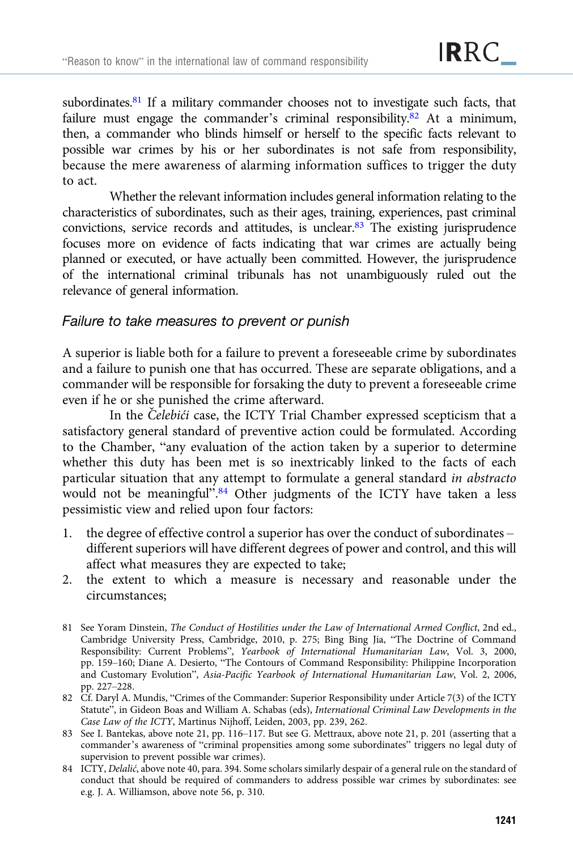subordinates.<sup>81</sup> If a military commander chooses not to investigate such facts, that failure must engage the commander's criminal responsibility.<sup>82</sup> At a minimum, then, a commander who blinds himself or herself to the specific facts relevant to possible war crimes by his or her subordinates is not safe from responsibility, because the mere awareness of alarming information suffices to trigger the duty to act.

Whether the relevant information includes general information relating to the characteristics of subordinates, such as their ages, training, experiences, past criminal convictions, service records and attitudes, is unclear.83 The existing jurisprudence focuses more on evidence of facts indicating that war crimes are actually being planned or executed, or have actually been committed. However, the jurisprudence of the international criminal tribunals has not unambiguously ruled out the relevance of general information.

# Failure to take measures to prevent or punish

A superior is liable both for a failure to prevent a foreseeable crime by subordinates and a failure to punish one that has occurred. These are separate obligations, and a commander will be responsible for forsaking the duty to prevent a foreseeable crime even if he or she punished the crime afterward.

In the *Čelebići* case, the ICTY Trial Chamber expressed scepticism that a satisfactory general standard of preventive action could be formulated. According to the Chamber, "any evaluation of the action taken by a superior to determine whether this duty has been met is so inextricably linked to the facts of each particular situation that any attempt to formulate a general standard in abstracto would not be meaningful".<sup>84</sup> Other judgments of the ICTY have taken a less pessimistic view and relied upon four factors:

- 1. the degree of effective control a superior has over the conduct of subordinates different superiors will have different degrees of power and control, and this will affect what measures they are expected to take;
- 2. the extent to which a measure is necessary and reasonable under the circumstances;
- 81 See Yoram Dinstein, The Conduct of Hostilities under the Law of International Armed Conflict, 2nd ed., Cambridge University Press, Cambridge, 2010, p. 275; Bing Bing Jia, "The Doctrine of Command Responsibility: Current Problems", Yearbook of International Humanitarian Law, Vol. 3, 2000, pp. 159–160; Diane A. Desierto, "The Contours of Command Responsibility: Philippine Incorporation and Customary Evolution", Asia-Pacific Yearbook of International Humanitarian Law, Vol. 2, 2006, pp. 227–228.
- 82 Cf. Daryl A. Mundis, "Crimes of the Commander: Superior Responsibility under Article 7(3) of the ICTY Statute", in Gideon Boas and William A. Schabas (eds), International Criminal Law Developments in the Case Law of the ICTY, Martinus Nijhoff, Leiden, 2003, pp. 239, 262.
- 83 See I. Bantekas, above note 21, pp. 116–117. But see G. Mettraux, above note 21, p. 201 (asserting that a commander's awareness of "criminal propensities among some subordinates" triggers no legal duty of supervision to prevent possible war crimes).
- 84 ICTY, Delalić, above note 40, para. 394. Some scholars similarly despair of a general rule on the standard of conduct that should be required of commanders to address possible war crimes by subordinates: see e.g. J. A. Williamson, above note 56, p. 310.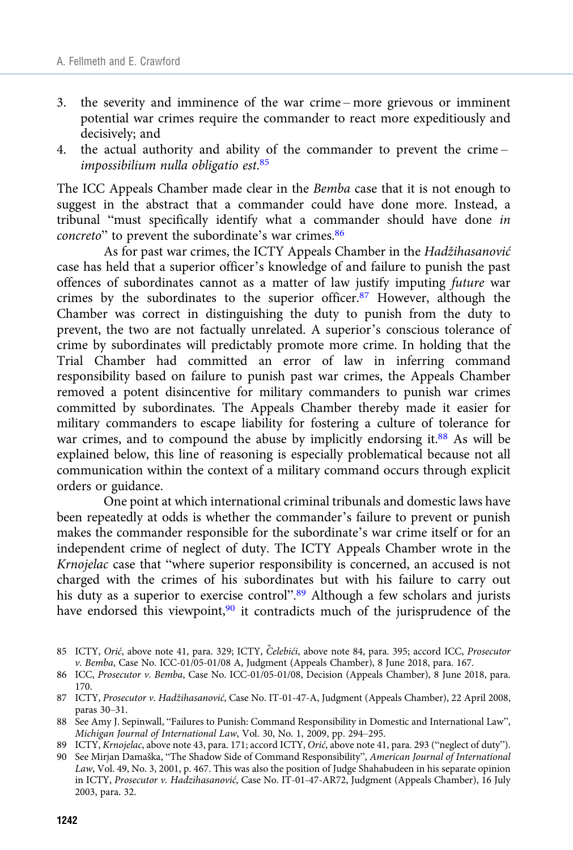- 3. the severity and imminence of the war crime more grievous or imminent potential war crimes require the commander to react more expeditiously and decisively; and
- 4. the actual authority and ability of the commander to prevent the crime impossibilium nulla obligatio est. 85

The ICC Appeals Chamber made clear in the Bemba case that it is not enough to suggest in the abstract that a commander could have done more. Instead, a tribunal "must specifically identify what a commander should have done in concreto" to prevent the subordinate's war crimes.<sup>86</sup>

As for past war crimes, the ICTY Appeals Chamber in the Hadžihasanović case has held that a superior officer's knowledge of and failure to punish the past offences of subordinates cannot as a matter of law justify imputing future war crimes by the subordinates to the superior officer.<sup>87</sup> However, although the Chamber was correct in distinguishing the duty to punish from the duty to prevent, the two are not factually unrelated. A superior's conscious tolerance of crime by subordinates will predictably promote more crime. In holding that the Trial Chamber had committed an error of law in inferring command responsibility based on failure to punish past war crimes, the Appeals Chamber removed a potent disincentive for military commanders to punish war crimes committed by subordinates. The Appeals Chamber thereby made it easier for military commanders to escape liability for fostering a culture of tolerance for war crimes, and to compound the abuse by implicitly endorsing it.<sup>88</sup> As will be explained below, this line of reasoning is especially problematical because not all communication within the context of a military command occurs through explicit orders or guidance.

One point at which international criminal tribunals and domestic laws have been repeatedly at odds is whether the commander's failure to prevent or punish makes the commander responsible for the subordinate's war crime itself or for an independent crime of neglect of duty. The ICTY Appeals Chamber wrote in the Krnojelac case that "where superior responsibility is concerned, an accused is not charged with the crimes of his subordinates but with his failure to carry out his duty as a superior to exercise control".<sup>89</sup> Although a few scholars and jurists have endorsed this viewpoint,<sup>90</sup> it contradicts much of the jurisprudence of the

<sup>85</sup> ICTY, Orić, above note 41, para. 329; ICTY, Čelebići, above note 84, para. 395; accord ICC, Prosecutor v. Bemba, Case No. ICC-01/05-01/08 A, Judgment (Appeals Chamber), 8 June 2018, para. 167.

<sup>86</sup> ICC, Prosecutor v. Bemba, Case No. ICC-01/05-01/08, Decision (Appeals Chamber), 8 June 2018, para. 170.

<sup>87</sup> ICTY, Prosecutor v. Hadžihasanović, Case No. IT-01-47-A, Judgment (Appeals Chamber), 22 April 2008, paras 30–31.

<sup>88</sup> See Amy J. Sepinwall, "Failures to Punish: Command Responsibility in Domestic and International Law", Michigan Journal of International Law, Vol. 30, No. 1, 2009, pp. 294–295.

<sup>89</sup> ICTY, Krnojelac, above note 43, para. 171; accord ICTY, Orić, above note 41, para. 293 ("neglect of duty").

<sup>90</sup> See Mirjan Damaška, "The Shadow Side of Command Responsibility", American Journal of International Law, Vol. 49, No. 3, 2001, p. 467. This was also the position of Judge Shahabudeen in his separate opinion in ICTY, Prosecutor v. Hadzihasanović, Case No. IT-01-47-AR72, Judgment (Appeals Chamber), 16 July 2003, para. 32.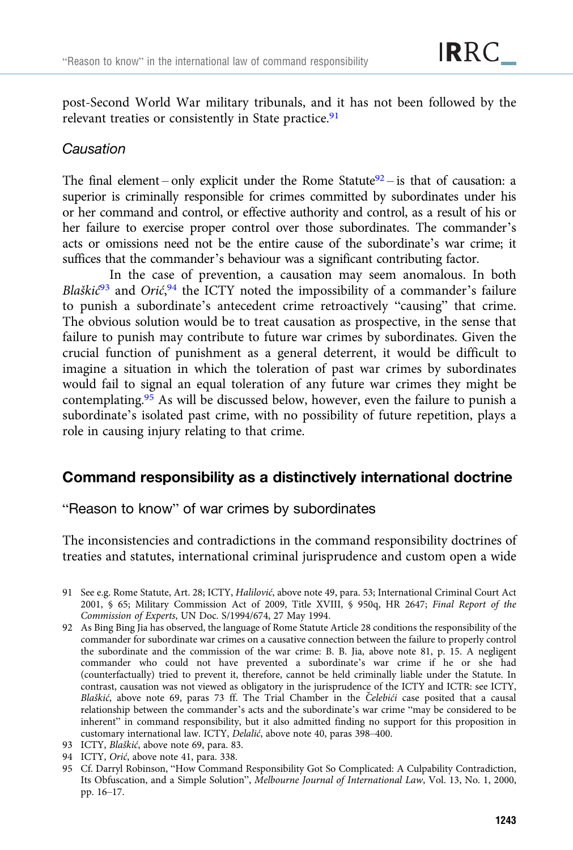post-Second World War military tribunals, and it has not been followed by the relevant treaties or consistently in State practice.<sup>91</sup>

# Causation

The final element – only explicit under the Rome Statute $92$  – is that of causation: a superior is criminally responsible for crimes committed by subordinates under his or her command and control, or effective authority and control, as a result of his or her failure to exercise proper control over those subordinates. The commander's acts or omissions need not be the entire cause of the subordinate's war crime; it suffices that the commander's behaviour was a significant contributing factor.

In the case of prevention, a causation may seem anomalous. In both Blaškić<sup>93</sup> and Orić,<sup>94</sup> the ICTY noted the impossibility of a commander's failure to punish a subordinate's antecedent crime retroactively "causing" that crime. The obvious solution would be to treat causation as prospective, in the sense that failure to punish may contribute to future war crimes by subordinates. Given the crucial function of punishment as a general deterrent, it would be difficult to imagine a situation in which the toleration of past war crimes by subordinates would fail to signal an equal toleration of any future war crimes they might be contemplating.95 As will be discussed below, however, even the failure to punish a subordinate's isolated past crime, with no possibility of future repetition, plays a role in causing injury relating to that crime.

# Command responsibility as a distinctively international doctrine

# "Reason to know" of war crimes by subordinates

The inconsistencies and contradictions in the command responsibility doctrines of treaties and statutes, international criminal jurisprudence and custom open a wide

- 93 ICTY, Blaškić, above note 69, para. 83.
- 94 ICTY, Orić, above note 41, para. 338.
- 95 Cf. Darryl Robinson, "How Command Responsibility Got So Complicated: A Culpability Contradiction, Its Obfuscation, and a Simple Solution", Melbourne Journal of International Law, Vol. 13, No. 1, 2000, pp. 16–17.

<sup>91</sup> See e.g. Rome Statute, Art. 28; ICTY, Halilović, above note 49, para. 53; International Criminal Court Act 2001, § 65; Military Commission Act of 2009, Title XVIII, § 950q, HR 2647; Final Report of the Commission of Experts, UN Doc. S/1994/674, 27 May 1994.

<sup>92</sup> As Bing Bing Jia has observed, the language of Rome Statute Article 28 conditions the responsibility of the commander for subordinate war crimes on a causative connection between the failure to properly control the subordinate and the commission of the war crime: B. B. Jia, above note 81, p. 15. A negligent commander who could not have prevented a subordinate's war crime if he or she had (counterfactually) tried to prevent it, therefore, cannot be held criminally liable under the Statute. In contrast, causation was not viewed as obligatory in the jurisprudence of the ICTY and ICTR: see ICTY, Blaškić, above note 69, paras 73 ff. The Trial Chamber in the Čelebići case posited that a causal relationship between the commander's acts and the subordinate's war crime "may be considered to be inherent" in command responsibility, but it also admitted finding no support for this proposition in customary international law. ICTY, Delalić, above note 40, paras 398–400.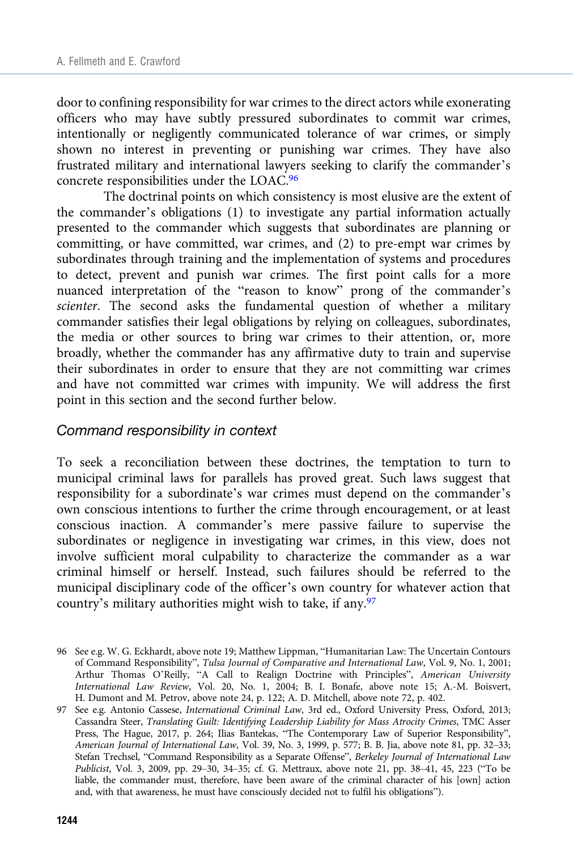door to confining responsibility for war crimes to the direct actors while exonerating officers who may have subtly pressured subordinates to commit war crimes, intentionally or negligently communicated tolerance of war crimes, or simply shown no interest in preventing or punishing war crimes. They have also frustrated military and international lawyers seeking to clarify the commander's concrete responsibilities under the LOAC.96

The doctrinal points on which consistency is most elusive are the extent of the commander's obligations (1) to investigate any partial information actually presented to the commander which suggests that subordinates are planning or committing, or have committed, war crimes, and (2) to pre-empt war crimes by subordinates through training and the implementation of systems and procedures to detect, prevent and punish war crimes. The first point calls for a more nuanced interpretation of the "reason to know" prong of the commander's scienter. The second asks the fundamental question of whether a military commander satisfies their legal obligations by relying on colleagues, subordinates, the media or other sources to bring war crimes to their attention, or, more broadly, whether the commander has any affirmative duty to train and supervise their subordinates in order to ensure that they are not committing war crimes and have not committed war crimes with impunity. We will address the first point in this section and the second further below.

### Command responsibility in context

To seek a reconciliation between these doctrines, the temptation to turn to municipal criminal laws for parallels has proved great. Such laws suggest that responsibility for a subordinate's war crimes must depend on the commander's own conscious intentions to further the crime through encouragement, or at least conscious inaction. A commander's mere passive failure to supervise the subordinates or negligence in investigating war crimes, in this view, does not involve sufficient moral culpability to characterize the commander as a war criminal himself or herself. Instead, such failures should be referred to the municipal disciplinary code of the officer's own country for whatever action that country's military authorities might wish to take, if any.97

<sup>96</sup> See e.g. W. G. Eckhardt, above note 19; Matthew Lippman, "Humanitarian Law: The Uncertain Contours of Command Responsibility", Tulsa Journal of Comparative and International Law, Vol. 9, No. 1, 2001; Arthur Thomas O'Reilly, "A Call to Realign Doctrine with Principles", American University International Law Review, Vol. 20, No. 1, 2004; B. I. Bonafe, above note 15; A.-M. Boisvert, H. Dumont and M. Petrov, above note 24, p. 122; A. D. Mitchell, above note 72, p. 402.

<sup>97</sup> See e.g. Antonio Cassese, International Criminal Law, 3rd ed., Oxford University Press, Oxford, 2013; Cassandra Steer, Translating Guilt: Identifying Leadership Liability for Mass Atrocity Crimes, TMC Asser Press, The Hague, 2017, p. 264; Ilias Bantekas, "The Contemporary Law of Superior Responsibility", American Journal of International Law, Vol. 39, No. 3, 1999, p. 577; B. B. Jia, above note 81, pp. 32–33; Stefan Trechsel, "Command Responsibility as a Separate Offense", Berkeley Journal of International Law Publicist, Vol. 3, 2009, pp. 29–30, 34–35; cf. G. Mettraux, above note 21, pp. 38–41, 45, 223 ("To be liable, the commander must, therefore, have been aware of the criminal character of his [own] action and, with that awareness, he must have consciously decided not to fulfil his obligations").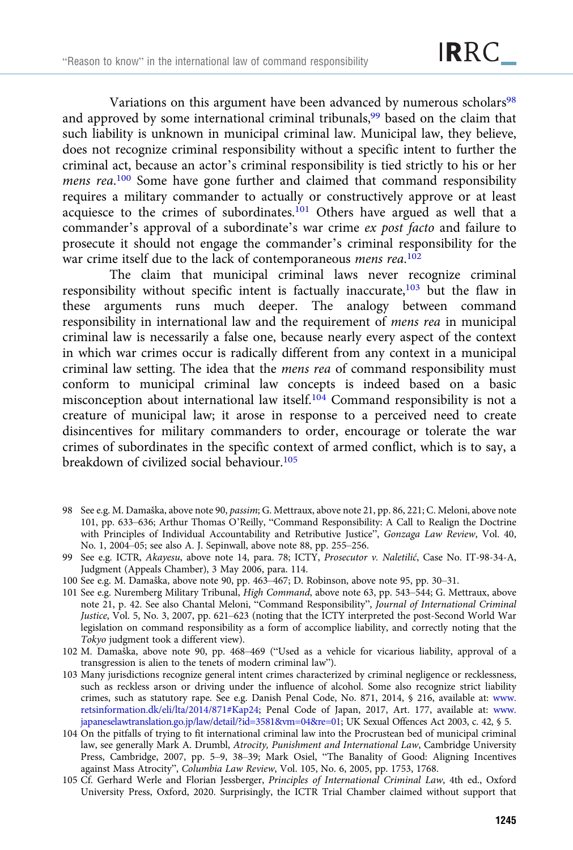Variations on this argument have been advanced by numerous scholars<sup>98</sup> and approved by some international criminal tribunals,<sup>99</sup> based on the claim that such liability is unknown in municipal criminal law. Municipal law, they believe, does not recognize criminal responsibility without a specific intent to further the criminal act, because an actor's criminal responsibility is tied strictly to his or her mens rea.<sup>100</sup> Some have gone further and claimed that command responsibility requires a military commander to actually or constructively approve or at least acquiesce to the crimes of subordinates.<sup>101</sup> Others have argued as well that a commander's approval of a subordinate's war crime ex post facto and failure to prosecute it should not engage the commander's criminal responsibility for the war crime itself due to the lack of contemporaneous mens rea.<sup>102</sup>

The claim that municipal criminal laws never recognize criminal responsibility without specific intent is factually inaccurate,<sup>103</sup> but the flaw in these arguments runs much deeper. The analogy between command responsibility in international law and the requirement of mens rea in municipal criminal law is necessarily a false one, because nearly every aspect of the context in which war crimes occur is radically different from any context in a municipal criminal law setting. The idea that the mens rea of command responsibility must conform to municipal criminal law concepts is indeed based on a basic misconception about international law itself.104 Command responsibility is not a creature of municipal law; it arose in response to a perceived need to create disincentives for military commanders to order, encourage or tolerate the war crimes of subordinates in the specific context of armed conflict, which is to say, a breakdown of civilized social behaviour.105

- 98 See e.g. M. Damaška, above note 90, passim; G. Mettraux, above note 21, pp. 86, 221; C. Meloni, above note 101, pp. 633–636; Arthur Thomas O'Reilly, "Command Responsibility: A Call to Realign the Doctrine with Principles of Individual Accountability and Retributive Justice", Gonzaga Law Review, Vol. 40, No. 1, 2004–05; see also A. J. Sepinwall, above note 88, pp. 255–256.
- 99 See e.g. ICTR, Akayesu, above note 14, para. 78; ICTY, Prosecutor v. Naletilić, Case No. IT-98-34-A, Judgment (Appeals Chamber), 3 May 2006, para. 114.
- 100 See e.g. M. Damaška, above note 90, pp. 463–467; D. Robinson, above note 95, pp. 30–31.
- 101 See e.g. Nuremberg Military Tribunal, High Command, above note 63, pp. 543–544; G. Mettraux, above note 21, p. 42. See also Chantal Meloni, "Command Responsibility", Journal of International Criminal Justice, Vol. 5, No. 3, 2007, pp. 621–623 (noting that the ICTY interpreted the post-Second World War legislation on command responsibility as a form of accomplice liability, and correctly noting that the Tokyo judgment took a different view).
- 102 M. Damaška, above note 90, pp. 468–469 ("Used as a vehicle for vicarious liability, approval of a transgression is alien to the tenets of modern criminal law").
- 103 Many jurisdictions recognize general intent crimes characterized by criminal negligence or recklessness, such as reckless arson or driving under the influence of alcohol. Some also recognize strict liability crimes, such as statutory rape. See e.g. Danish Penal Code, No. 871, 2014, § 216, available at: [www.](http://www.retsinformation.dk/eli/lta/2014/871%23Kap24) [retsinformation.dk/eli/lta/2014/871#Kap24](http://www.retsinformation.dk/eli/lta/2014/871%23Kap24); Penal Code of Japan, 2017, Art. 177, available at: [www.](http://www.japaneselawtranslation.go.jp/law/detail/?id=3581&vm=04&re=01) [japaneselawtranslation.go.jp/law/detail/?id=3581&vm=04&re=01](http://www.japaneselawtranslation.go.jp/law/detail/?id=3581&vm=04&re=01); UK Sexual Offences Act 2003, c. 42, § 5.
- 104 On the pitfalls of trying to fit international criminal law into the Procrustean bed of municipal criminal law, see generally Mark A. Drumbl, Atrocity, Punishment and International Law, Cambridge University Press, Cambridge, 2007, pp. 5–9, 38–39; Mark Osiel, "The Banality of Good: Aligning Incentives against Mass Atrocity", Columbia Law Review, Vol. 105, No. 6, 2005, pp. 1753, 1768.
- 105 Cf. Gerhard Werle and Florian Jessberger, Principles of International Criminal Law, 4th ed., Oxford University Press, Oxford, 2020. Surprisingly, the ICTR Trial Chamber claimed without support that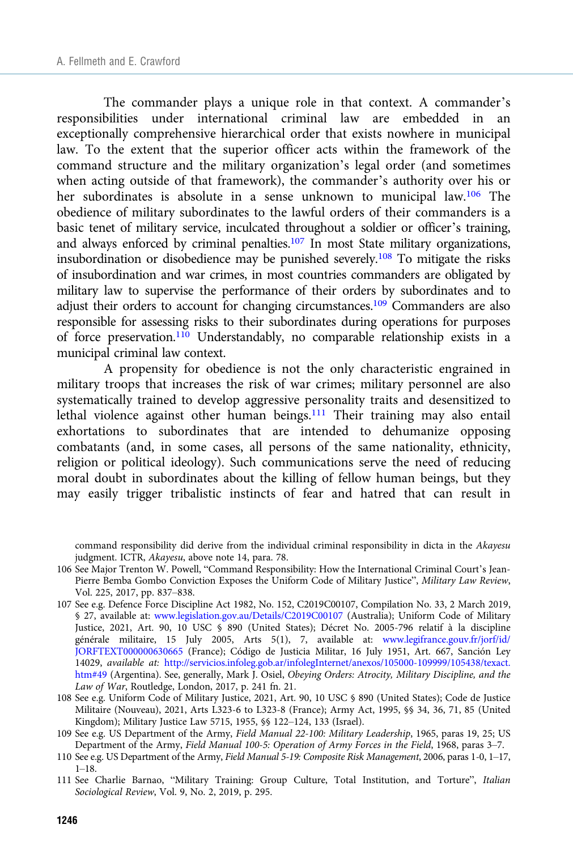The commander plays a unique role in that context. A commander's responsibilities under international criminal law are embedded in an exceptionally comprehensive hierarchical order that exists nowhere in municipal law. To the extent that the superior officer acts within the framework of the command structure and the military organization's legal order (and sometimes when acting outside of that framework), the commander's authority over his or her subordinates is absolute in a sense unknown to municipal law.106 The obedience of military subordinates to the lawful orders of their commanders is a basic tenet of military service, inculcated throughout a soldier or officer's training, and always enforced by criminal penalties.107 In most State military organizations, insubordination or disobedience may be punished severely.108 To mitigate the risks of insubordination and war crimes, in most countries commanders are obligated by military law to supervise the performance of their orders by subordinates and to adjust their orders to account for changing circumstances.<sup>109</sup> Commanders are also responsible for assessing risks to their subordinates during operations for purposes of force preservation.110 Understandably, no comparable relationship exists in a municipal criminal law context.

A propensity for obedience is not the only characteristic engrained in military troops that increases the risk of war crimes; military personnel are also systematically trained to develop aggressive personality traits and desensitized to lethal violence against other human beings.<sup>111</sup> Their training may also entail exhortations to subordinates that are intended to dehumanize opposing combatants (and, in some cases, all persons of the same nationality, ethnicity, religion or political ideology). Such communications serve the need of reducing moral doubt in subordinates about the killing of fellow human beings, but they may easily trigger tribalistic instincts of fear and hatred that can result in

command responsibility did derive from the individual criminal responsibility in dicta in the Akayesu judgment. ICTR, Akayesu, above note 14, para. 78.

- 106 See Major Trenton W. Powell, "Command Responsibility: How the International Criminal Court's Jean-Pierre Bemba Gombo Conviction Exposes the Uniform Code of Military Justice", Military Law Review, Vol. 225, 2017, pp. 837–838.
- 107 See e.g. Defence Force Discipline Act 1982, No. 152, C2019C00107, Compilation No. 33, 2 March 2019, § 27, available at: [www.legislation.gov.au/Details/C2019C00107](https://www.legislation.gov.au/Details/C2019C00107) (Australia); Uniform Code of Military Justice, 2021, Art. 90, 10 USC § 890 (United States); Décret No. 2005-796 relatif à la discipline générale militaire, 15 July 2005, Arts 5(1), 7, available at: [www.legifrance.gouv.fr/jorf/id/](https://www.legifrance.gouv.fr/jorf/id/JORFTEXT000000630665) [JORFTEXT000000630665](https://www.legifrance.gouv.fr/jorf/id/JORFTEXT000000630665) (France); Código de Justicia Militar, 16 July 1951, Art. 667, Sanción Ley 14029, available at: [http://servicios.infoleg.gob.ar/infolegInternet/anexos/105000-109999/105438/texact.](http://servicios.infoleg.gob.ar/infolegInternet/anexos/105000-109999/105438/texact.htm%2349) [htm#49](http://servicios.infoleg.gob.ar/infolegInternet/anexos/105000-109999/105438/texact.htm%2349) (Argentina). See, generally, Mark J. Osiel, Obeying Orders: Atrocity, Military Discipline, and the Law of War, Routledge, London, 2017, p. 241 fn. 21.
- 108 See e.g. Uniform Code of Military Justice, 2021, Art. 90, 10 USC § 890 (United States); Code de Justice Militaire (Nouveau), 2021, Arts L323-6 to L323-8 (France); Army Act, 1995, §§ 34, 36, 71, 85 (United Kingdom); Military Justice Law 5715, 1955, §§ 122–124, 133 (Israel).
- 109 See e.g. US Department of the Army, Field Manual 22-100: Military Leadership, 1965, paras 19, 25; US Department of the Army, Field Manual 100-5: Operation of Army Forces in the Field, 1968, paras 3–7.
- 110 See e.g. US Department of the Army, Field Manual 5-19: Composite Risk Management, 2006, paras 1-0, 1–17, 1–18.
- 111 See Charlie Barnao, "Military Training: Group Culture, Total Institution, and Torture", Italian Sociological Review, Vol. 9, No. 2, 2019, p. 295.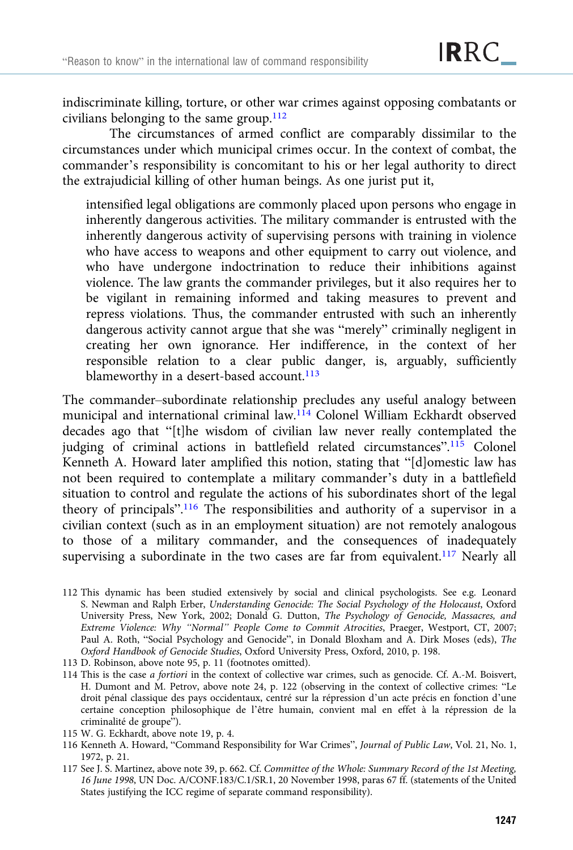indiscriminate killing, torture, or other war crimes against opposing combatants or civilians belonging to the same group.<sup>112</sup>

The circumstances of armed conflict are comparably dissimilar to the circumstances under which municipal crimes occur. In the context of combat, the commander's responsibility is concomitant to his or her legal authority to direct the extrajudicial killing of other human beings. As one jurist put it,

intensified legal obligations are commonly placed upon persons who engage in inherently dangerous activities. The military commander is entrusted with the inherently dangerous activity of supervising persons with training in violence who have access to weapons and other equipment to carry out violence, and who have undergone indoctrination to reduce their inhibitions against violence. The law grants the commander privileges, but it also requires her to be vigilant in remaining informed and taking measures to prevent and repress violations. Thus, the commander entrusted with such an inherently dangerous activity cannot argue that she was "merely" criminally negligent in creating her own ignorance. Her indifference, in the context of her responsible relation to a clear public danger, is, arguably, sufficiently blameworthy in a desert-based account.<sup>113</sup>

The commander–subordinate relationship precludes any useful analogy between municipal and international criminal law.114 Colonel William Eckhardt observed decades ago that "[t]he wisdom of civilian law never really contemplated the judging of criminal actions in battlefield related circumstances".<sup>115</sup> Colonel Kenneth A. Howard later amplified this notion, stating that "[d]omestic law has not been required to contemplate a military commander's duty in a battlefield situation to control and regulate the actions of his subordinates short of the legal theory of principals".<sup>116</sup> The responsibilities and authority of a supervisor in a civilian context (such as in an employment situation) are not remotely analogous to those of a military commander, and the consequences of inadequately supervising a subordinate in the two cases are far from equivalent.<sup>117</sup> Nearly all

- 112 This dynamic has been studied extensively by social and clinical psychologists. See e.g. Leonard S. Newman and Ralph Erber, Understanding Genocide: The Social Psychology of the Holocaust, Oxford University Press, New York, 2002; Donald G. Dutton, The Psychology of Genocide, Massacres, and Extreme Violence: Why "Normal" People Come to Commit Atrocities, Praeger, Westport, CT, 2007; Paul A. Roth, "Social Psychology and Genocide", in Donald Bloxham and A. Dirk Moses (eds), The Oxford Handbook of Genocide Studies, Oxford University Press, Oxford, 2010, p. 198.
- 113 D. Robinson, above note 95, p. 11 (footnotes omitted).
- 114 This is the case a fortiori in the context of collective war crimes, such as genocide. Cf. A.-M. Boisvert, H. Dumont and M. Petrov, above note 24, p. 122 (observing in the context of collective crimes: "Le droit pénal classique des pays occidentaux, centré sur la répression d'un acte précis en fonction d'une certaine conception philosophique de l'être humain, convient mal en effet à la répression de la criminalité de groupe").
- 115 W. G. Eckhardt, above note 19, p. 4.
- 116 Kenneth A. Howard, "Command Responsibility for War Crimes", Journal of Public Law, Vol. 21, No. 1, 1972, p. 21.
- 117 See J. S. Martinez, above note 39, p. 662. Cf. Committee of the Whole: Summary Record of the 1st Meeting, 16 June 1998, UN Doc. A/CONF.183/C.1/SR.1, 20 November 1998, paras 67 ff. (statements of the United States justifying the ICC regime of separate command responsibility).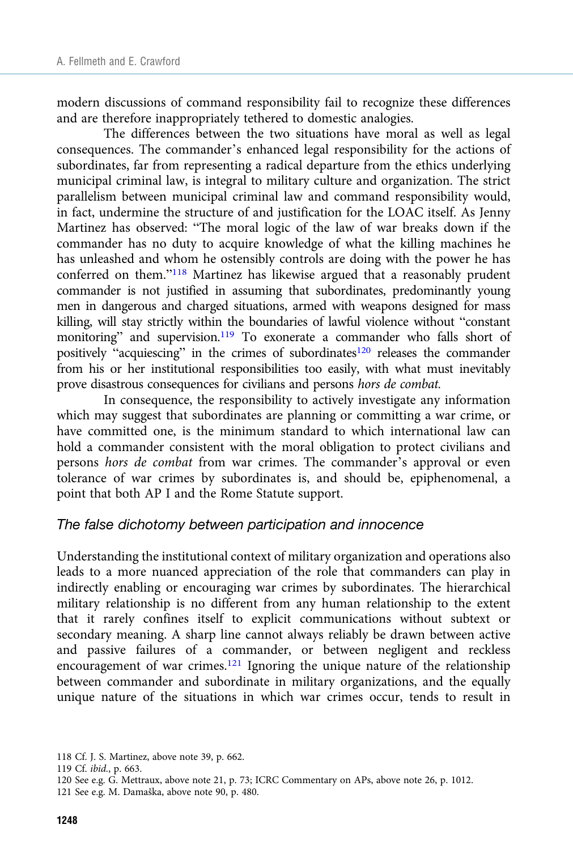modern discussions of command responsibility fail to recognize these differences and are therefore inappropriately tethered to domestic analogies.

The differences between the two situations have moral as well as legal consequences. The commander's enhanced legal responsibility for the actions of subordinates, far from representing a radical departure from the ethics underlying municipal criminal law, is integral to military culture and organization. The strict parallelism between municipal criminal law and command responsibility would, in fact, undermine the structure of and justification for the LOAC itself. As Jenny Martinez has observed: "The moral logic of the law of war breaks down if the commander has no duty to acquire knowledge of what the killing machines he has unleashed and whom he ostensibly controls are doing with the power he has conferred on them."<sup>118</sup> Martinez has likewise argued that a reasonably prudent commander is not justified in assuming that subordinates, predominantly young men in dangerous and charged situations, armed with weapons designed for mass killing, will stay strictly within the boundaries of lawful violence without "constant monitoring" and supervision.<sup>119</sup> To exonerate a commander who falls short of positively "acquiescing" in the crimes of subordinates<sup>120</sup> releases the commander from his or her institutional responsibilities too easily, with what must inevitably prove disastrous consequences for civilians and persons hors de combat.

In consequence, the responsibility to actively investigate any information which may suggest that subordinates are planning or committing a war crime, or have committed one, is the minimum standard to which international law can hold a commander consistent with the moral obligation to protect civilians and persons hors de combat from war crimes. The commander's approval or even tolerance of war crimes by subordinates is, and should be, epiphenomenal, a point that both AP I and the Rome Statute support.

#### The false dichotomy between participation and innocence

Understanding the institutional context of military organization and operations also leads to a more nuanced appreciation of the role that commanders can play in indirectly enabling or encouraging war crimes by subordinates. The hierarchical military relationship is no different from any human relationship to the extent that it rarely confines itself to explicit communications without subtext or secondary meaning. A sharp line cannot always reliably be drawn between active and passive failures of a commander, or between negligent and reckless encouragement of war crimes.<sup>121</sup> Ignoring the unique nature of the relationship between commander and subordinate in military organizations, and the equally unique nature of the situations in which war crimes occur, tends to result in

<sup>118</sup> Cf. J. S. Martinez, above note 39, p. 662.

<sup>119</sup> Cf. ibid., p. 663.

<sup>120</sup> See e.g. G. Mettraux, above note 21, p. 73; ICRC Commentary on APs, above note 26, p. 1012.

<sup>121</sup> See e.g. M. Damaška, above note 90, p. 480.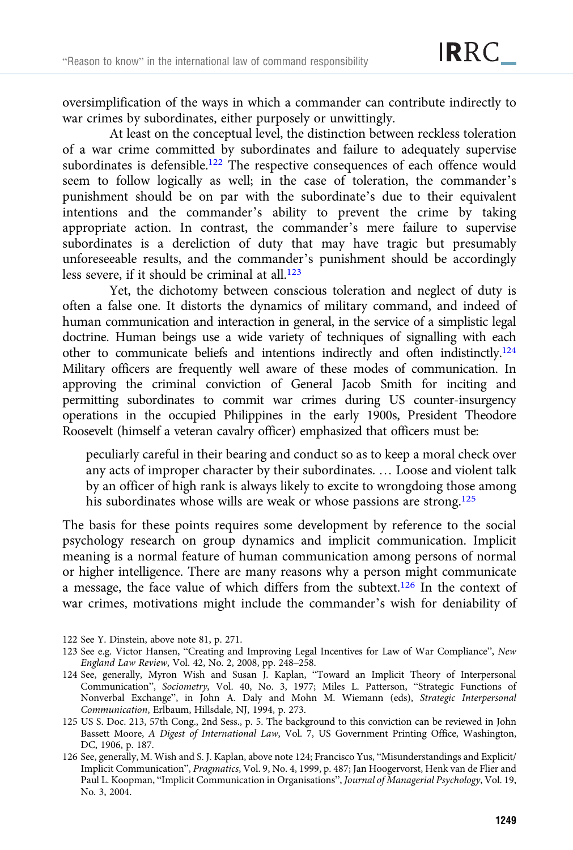oversimplification of the ways in which a commander can contribute indirectly to war crimes by subordinates, either purposely or unwittingly.

At least on the conceptual level, the distinction between reckless toleration of a war crime committed by subordinates and failure to adequately supervise subordinates is defensible.<sup>122</sup> The respective consequences of each offence would seem to follow logically as well; in the case of toleration, the commander's punishment should be on par with the subordinate's due to their equivalent intentions and the commander's ability to prevent the crime by taking appropriate action. In contrast, the commander's mere failure to supervise subordinates is a dereliction of duty that may have tragic but presumably unforeseeable results, and the commander's punishment should be accordingly less severe, if it should be criminal at all.123

Yet, the dichotomy between conscious toleration and neglect of duty is often a false one. It distorts the dynamics of military command, and indeed of human communication and interaction in general, in the service of a simplistic legal doctrine. Human beings use a wide variety of techniques of signalling with each other to communicate beliefs and intentions indirectly and often indistinctly.124 Military officers are frequently well aware of these modes of communication. In approving the criminal conviction of General Jacob Smith for inciting and permitting subordinates to commit war crimes during US counter-insurgency operations in the occupied Philippines in the early 1900s, President Theodore Roosevelt (himself a veteran cavalry officer) emphasized that officers must be:

peculiarly careful in their bearing and conduct so as to keep a moral check over any acts of improper character by their subordinates. … Loose and violent talk by an officer of high rank is always likely to excite to wrongdoing those among his subordinates whose wills are weak or whose passions are strong.<sup>125</sup>

The basis for these points requires some development by reference to the social psychology research on group dynamics and implicit communication. Implicit meaning is a normal feature of human communication among persons of normal or higher intelligence. There are many reasons why a person might communicate a message, the face value of which differs from the subtext.126 In the context of war crimes, motivations might include the commander's wish for deniability of

<sup>122</sup> See Y. Dinstein, above note 81, p. 271.

<sup>123</sup> See e.g. Victor Hansen, "Creating and Improving Legal Incentives for Law of War Compliance", New England Law Review, Vol. 42, No. 2, 2008, pp. 248–258.

<sup>124</sup> See, generally, Myron Wish and Susan J. Kaplan, "Toward an Implicit Theory of Interpersonal Communication", Sociometry, Vol. 40, No. 3, 1977; Miles L. Patterson, "Strategic Functions of Nonverbal Exchange", in John A. Daly and Mohn M. Wiemann (eds), Strategic Interpersonal Communication, Erlbaum, Hillsdale, NJ, 1994, p. 273.

<sup>125</sup> US S. Doc. 213, 57th Cong., 2nd Sess., p. 5. The background to this conviction can be reviewed in John Bassett Moore, A Digest of International Law, Vol. 7, US Government Printing Office, Washington, DC, 1906, p. 187.

<sup>126</sup> See, generally, M. Wish and S. J. Kaplan, above note 124; Francisco Yus, "Misunderstandings and Explicit/ Implicit Communication", Pragmatics, Vol. 9, No. 4, 1999, p. 487; Jan Hoogervorst, Henk van de Flier and Paul L. Koopman, "Implicit Communication in Organisations", Journal of Managerial Psychology, Vol. 19, No. 3, 2004.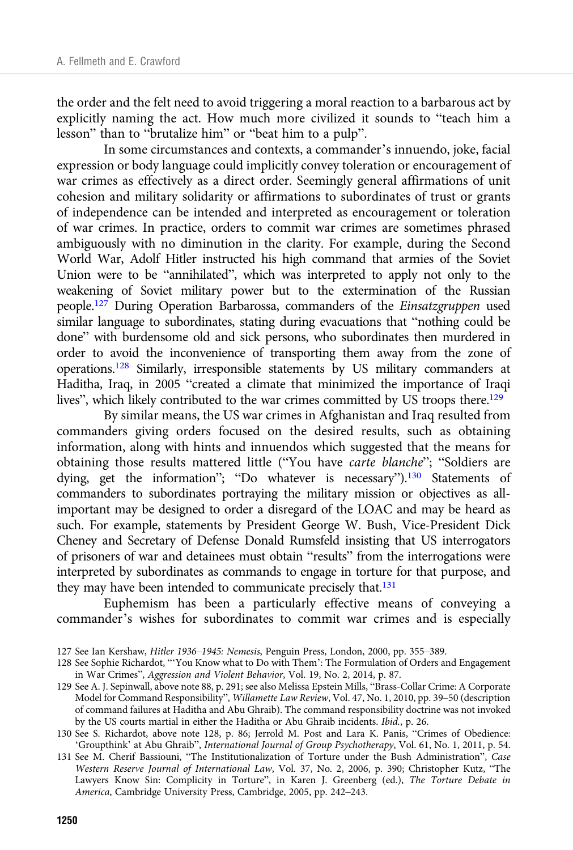the order and the felt need to avoid triggering a moral reaction to a barbarous act by explicitly naming the act. How much more civilized it sounds to "teach him a lesson" than to "brutalize him" or "beat him to a pulp".

In some circumstances and contexts, a commander's innuendo, joke, facial expression or body language could implicitly convey toleration or encouragement of war crimes as effectively as a direct order. Seemingly general affirmations of unit cohesion and military solidarity or affirmations to subordinates of trust or grants of independence can be intended and interpreted as encouragement or toleration of war crimes. In practice, orders to commit war crimes are sometimes phrased ambiguously with no diminution in the clarity. For example, during the Second World War, Adolf Hitler instructed his high command that armies of the Soviet Union were to be "annihilated", which was interpreted to apply not only to the weakening of Soviet military power but to the extermination of the Russian people.127 During Operation Barbarossa, commanders of the Einsatzgruppen used similar language to subordinates, stating during evacuations that "nothing could be done" with burdensome old and sick persons, who subordinates then murdered in order to avoid the inconvenience of transporting them away from the zone of operations.128 Similarly, irresponsible statements by US military commanders at Haditha, Iraq, in 2005 "created a climate that minimized the importance of Iraqi lives", which likely contributed to the war crimes committed by US troops there.<sup>129</sup>

By similar means, the US war crimes in Afghanistan and Iraq resulted from commanders giving orders focused on the desired results, such as obtaining information, along with hints and innuendos which suggested that the means for obtaining those results mattered little ("You have carte blanche"; "Soldiers are dying, get the information"; "Do whatever is necessary").<sup>130</sup> Statements of commanders to subordinates portraying the military mission or objectives as allimportant may be designed to order a disregard of the LOAC and may be heard as such. For example, statements by President George W. Bush, Vice-President Dick Cheney and Secretary of Defense Donald Rumsfeld insisting that US interrogators of prisoners of war and detainees must obtain "results" from the interrogations were interpreted by subordinates as commands to engage in torture for that purpose, and they may have been intended to communicate precisely that.<sup>131</sup>

Euphemism has been a particularly effective means of conveying a commander's wishes for subordinates to commit war crimes and is especially

<sup>127</sup> See Ian Kershaw, Hitler 1936–1945: Nemesis, Penguin Press, London, 2000, pp. 355–389.

<sup>128</sup> See Sophie Richardot, "'You Know what to Do with Them': The Formulation of Orders and Engagement in War Crimes", Aggression and Violent Behavior, Vol. 19, No. 2, 2014, p. 87.

<sup>129</sup> See A. J. Sepinwall, above note 88, p. 291; see also Melissa Epstein Mills, "Brass-Collar Crime: A Corporate Model for Command Responsibility", Willamette Law Review, Vol. 47, No. 1, 2010, pp. 39–50 (description of command failures at Haditha and Abu Ghraib). The command responsibility doctrine was not invoked by the US courts martial in either the Haditha or Abu Ghraib incidents. Ibid., p. 26.

<sup>130</sup> See S. Richardot, above note 128, p. 86; Jerrold M. Post and Lara K. Panis, "Crimes of Obedience: 'Groupthink' at Abu Ghraib", International Journal of Group Psychotherapy, Vol. 61, No. 1, 2011, p. 54.

<sup>131</sup> See M. Cherif Bassiouni, "The Institutionalization of Torture under the Bush Administration", Case Western Reserve Journal of International Law, Vol. 37, No. 2, 2006, p. 390; Christopher Kutz, "The Lawyers Know Sin: Complicity in Torture", in Karen J. Greenberg (ed.), The Torture Debate in America, Cambridge University Press, Cambridge, 2005, pp. 242–243.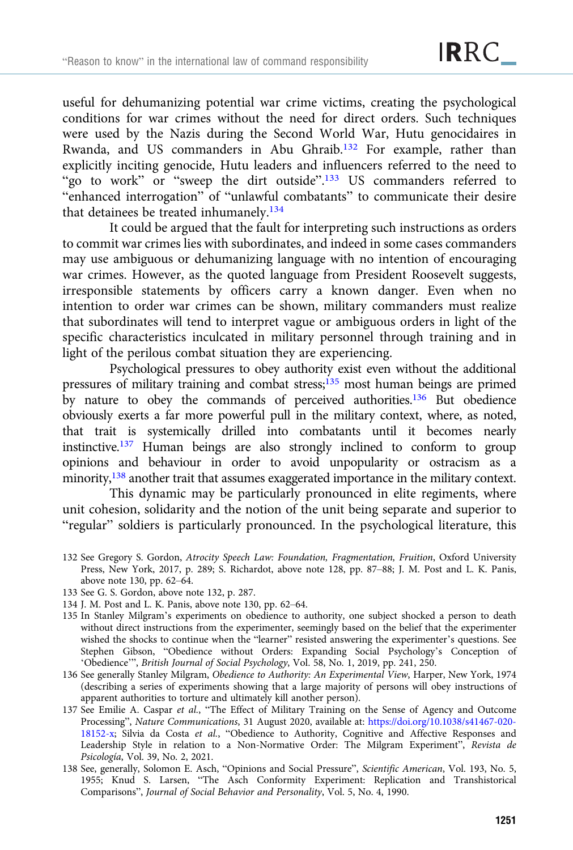useful for dehumanizing potential war crime victims, creating the psychological conditions for war crimes without the need for direct orders. Such techniques were used by the Nazis during the Second World War, Hutu genocidaires in Rwanda, and US commanders in Abu Ghraib.132 For example, rather than explicitly inciting genocide, Hutu leaders and influencers referred to the need to "go to work" or "sweep the dirt outside".<sup>133</sup> US commanders referred to "enhanced interrogation" of "unlawful combatants" to communicate their desire that detainees be treated inhumanely.<sup>134</sup>

It could be argued that the fault for interpreting such instructions as orders to commit war crimes lies with subordinates, and indeed in some cases commanders may use ambiguous or dehumanizing language with no intention of encouraging war crimes. However, as the quoted language from President Roosevelt suggests, irresponsible statements by officers carry a known danger. Even when no intention to order war crimes can be shown, military commanders must realize that subordinates will tend to interpret vague or ambiguous orders in light of the specific characteristics inculcated in military personnel through training and in light of the perilous combat situation they are experiencing.

Psychological pressures to obey authority exist even without the additional pressures of military training and combat stress;135 most human beings are primed by nature to obey the commands of perceived authorities.<sup>136</sup> But obedience obviously exerts a far more powerful pull in the military context, where, as noted, that trait is systemically drilled into combatants until it becomes nearly instinctive.137 Human beings are also strongly inclined to conform to group opinions and behaviour in order to avoid unpopularity or ostracism as a minority,138 another trait that assumes exaggerated importance in the military context.

This dynamic may be particularly pronounced in elite regiments, where unit cohesion, solidarity and the notion of the unit being separate and superior to "regular" soldiers is particularly pronounced. In the psychological literature, this

- 132 See Gregory S. Gordon, Atrocity Speech Law: Foundation, Fragmentation, Fruition, Oxford University Press, New York, 2017, p. 289; S. Richardot, above note 128, pp. 87–88; J. M. Post and L. K. Panis, above note 130, pp. 62–64.
- 133 See G. S. Gordon, above note 132, p. 287.
- 134 J. M. Post and L. K. Panis, above note 130, pp. 62–64.
- 135 In Stanley Milgram's experiments on obedience to authority, one subject shocked a person to death without direct instructions from the experimenter, seemingly based on the belief that the experimenter wished the shocks to continue when the "learner" resisted answering the experimenter's questions. See Stephen Gibson, "Obedience without Orders: Expanding Social Psychology's Conception of 'Obedience'", British Journal of Social Psychology, Vol. 58, No. 1, 2019, pp. 241, 250.
- 136 See generally Stanley Milgram, Obedience to Authority: An Experimental View, Harper, New York, 1974 (describing a series of experiments showing that a large majority of persons will obey instructions of apparent authorities to torture and ultimately kill another person).
- 137 See Emilie A. Caspar et al., "The Effect of Military Training on the Sense of Agency and Outcome Processing", Nature Communications, 31 August 2020, available at: [https://doi.org/10.1038/s41467-020-](https://doi.org/10.1038/s41467-020-18152-x) [18152-x;](https://doi.org/10.1038/s41467-020-18152-x) Silvia da Costa et al., "Obedience to Authority, Cognitive and Affective Responses and Leadership Style in relation to a Non-Normative Order: The Milgram Experiment", Revista de Psicología, Vol. 39, No. 2, 2021.
- 138 See, generally, Solomon E. Asch, "Opinions and Social Pressure", Scientific American, Vol. 193, No. 5, 1955; Knud S. Larsen, "The Asch Conformity Experiment: Replication and Transhistorical Comparisons", Journal of Social Behavior and Personality, Vol. 5, No. 4, 1990.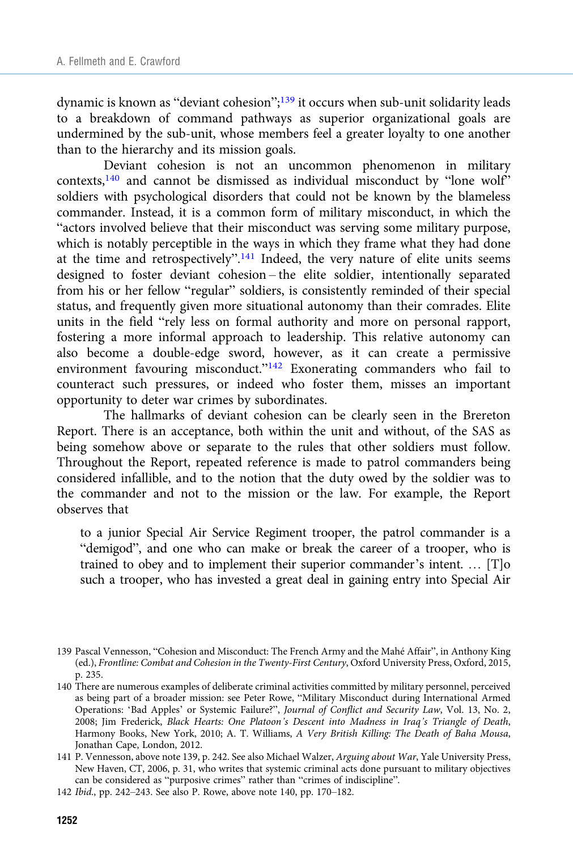dynamic is known as "deviant cohesion";<sup>139</sup> it occurs when sub-unit solidarity leads to a breakdown of command pathways as superior organizational goals are undermined by the sub-unit, whose members feel a greater loyalty to one another than to the hierarchy and its mission goals.

Deviant cohesion is not an uncommon phenomenon in military contexts,<sup>140</sup> and cannot be dismissed as individual misconduct by "lone wolf" soldiers with psychological disorders that could not be known by the blameless commander. Instead, it is a common form of military misconduct, in which the "actors involved believe that their misconduct was serving some military purpose, which is notably perceptible in the ways in which they frame what they had done at the time and retrospectively".<sup>141</sup> Indeed, the very nature of elite units seems designed to foster deviant cohesion – the elite soldier, intentionally separated from his or her fellow "regular" soldiers, is consistently reminded of their special status, and frequently given more situational autonomy than their comrades. Elite units in the field "rely less on formal authority and more on personal rapport, fostering a more informal approach to leadership. This relative autonomy can also become a double-edge sword, however, as it can create a permissive environment favouring misconduct."<sup>142</sup> Exonerating commanders who fail to counteract such pressures, or indeed who foster them, misses an important opportunity to deter war crimes by subordinates.

The hallmarks of deviant cohesion can be clearly seen in the Brereton Report. There is an acceptance, both within the unit and without, of the SAS as being somehow above or separate to the rules that other soldiers must follow. Throughout the Report, repeated reference is made to patrol commanders being considered infallible, and to the notion that the duty owed by the soldier was to the commander and not to the mission or the law. For example, the Report observes that

to a junior Special Air Service Regiment trooper, the patrol commander is a "demigod", and one who can make or break the career of a trooper, who is trained to obey and to implement their superior commander's intent. … [T]o such a trooper, who has invested a great deal in gaining entry into Special Air

<sup>139</sup> Pascal Vennesson, "Cohesion and Misconduct: The French Army and the Mahé Affair", in Anthony King (ed.), Frontline: Combat and Cohesion in the Twenty-First Century, Oxford University Press, Oxford, 2015, p. 235.

<sup>140</sup> There are numerous examples of deliberate criminal activities committed by military personnel, perceived as being part of a broader mission: see Peter Rowe, "Military Misconduct during International Armed Operations: 'Bad Apples' or Systemic Failure?", Journal of Conflict and Security Law, Vol. 13, No. 2, 2008; Jim Frederick, Black Hearts: One Platoon's Descent into Madness in Iraq's Triangle of Death, Harmony Books, New York, 2010; A. T. Williams, A Very British Killing: The Death of Baha Mousa, Jonathan Cape, London, 2012.

<sup>141</sup> P. Vennesson, above note 139, p. 242. See also Michael Walzer, Arguing about War, Yale University Press, New Haven, CT, 2006, p. 31, who writes that systemic criminal acts done pursuant to military objectives can be considered as "purposive crimes" rather than "crimes of indiscipline".

<sup>142</sup> Ibid., pp. 242–243. See also P. Rowe, above note 140, pp. 170–182.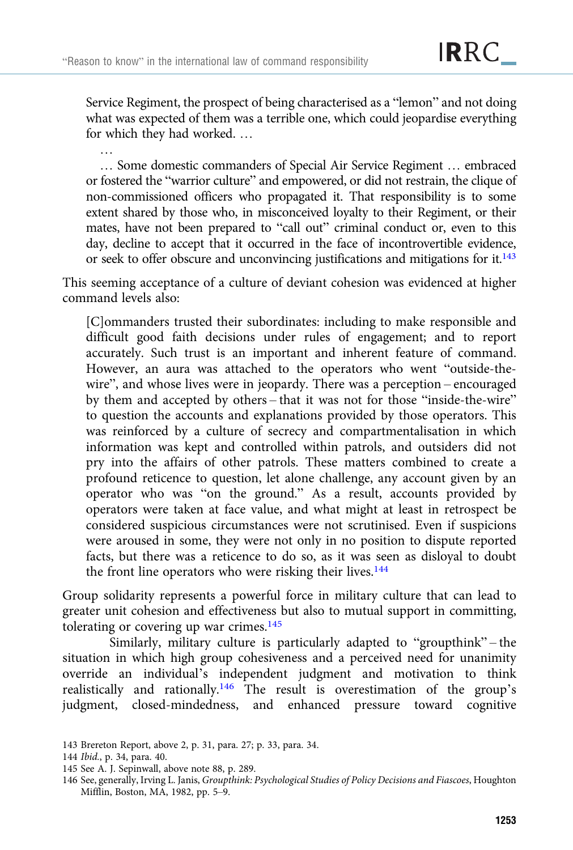Service Regiment, the prospect of being characterised as a "lemon" and not doing what was expected of them was a terrible one, which could jeopardise everything for which they had worked. …

… Some domestic commanders of Special Air Service Regiment … embraced or fostered the "warrior culture" and empowered, or did not restrain, the clique of non-commissioned officers who propagated it. That responsibility is to some extent shared by those who, in misconceived loyalty to their Regiment, or their mates, have not been prepared to "call out" criminal conduct or, even to this day, decline to accept that it occurred in the face of incontrovertible evidence, or seek to offer obscure and unconvincing justifications and mitigations for it.143

This seeming acceptance of a culture of deviant cohesion was evidenced at higher command levels also:

[C]ommanders trusted their subordinates: including to make responsible and difficult good faith decisions under rules of engagement; and to report accurately. Such trust is an important and inherent feature of command. However, an aura was attached to the operators who went "outside-thewire", and whose lives were in jeopardy. There was a perception – encouraged by them and accepted by others – that it was not for those "inside-the-wire" to question the accounts and explanations provided by those operators. This was reinforced by a culture of secrecy and compartmentalisation in which information was kept and controlled within patrols, and outsiders did not pry into the affairs of other patrols. These matters combined to create a profound reticence to question, let alone challenge, any account given by an operator who was "on the ground." As a result, accounts provided by operators were taken at face value, and what might at least in retrospect be considered suspicious circumstances were not scrutinised. Even if suspicions were aroused in some, they were not only in no position to dispute reported facts, but there was a reticence to do so, as it was seen as disloyal to doubt the front line operators who were risking their lives.<sup>144</sup>

Group solidarity represents a powerful force in military culture that can lead to greater unit cohesion and effectiveness but also to mutual support in committing, tolerating or covering up war crimes.<sup>145</sup>

Similarly, military culture is particularly adapted to "groupthink" – the situation in which high group cohesiveness and a perceived need for unanimity override an individual's independent judgment and motivation to think realistically and rationally.<sup>146</sup> The result is overestimation of the group's judgment, closed-mindedness, and enhanced pressure toward cognitive

…

<sup>143</sup> Brereton Report, above 2, p. 31, para. 27; p. 33, para. 34.

<sup>144</sup> Ibid., p. 34, para. 40.

<sup>145</sup> See A. J. Sepinwall, above note 88, p. 289.

<sup>146</sup> See, generally, Irving L. Janis, Groupthink: Psychological Studies of Policy Decisions and Fiascoes, Houghton Mifflin, Boston, MA, 1982, pp. 5–9.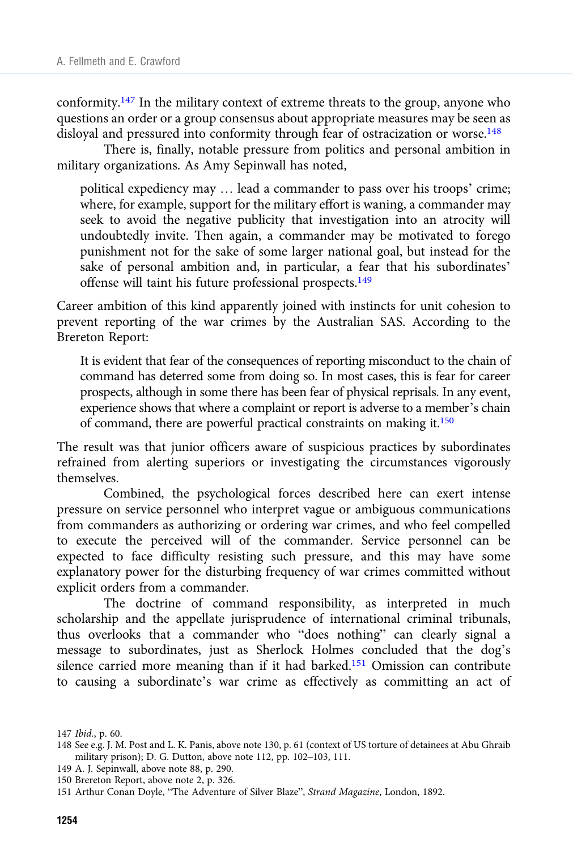conformity.<sup>147</sup> In the military context of extreme threats to the group, anyone who questions an order or a group consensus about appropriate measures may be seen as disloyal and pressured into conformity through fear of ostracization or worse.<sup>148</sup>

There is, finally, notable pressure from politics and personal ambition in military organizations. As Amy Sepinwall has noted,

political expediency may … lead a commander to pass over his troops' crime; where, for example, support for the military effort is waning, a commander may seek to avoid the negative publicity that investigation into an atrocity will undoubtedly invite. Then again, a commander may be motivated to forego punishment not for the sake of some larger national goal, but instead for the sake of personal ambition and, in particular, a fear that his subordinates' offense will taint his future professional prospects.<sup>149</sup>

Career ambition of this kind apparently joined with instincts for unit cohesion to prevent reporting of the war crimes by the Australian SAS. According to the Brereton Report:

It is evident that fear of the consequences of reporting misconduct to the chain of command has deterred some from doing so. In most cases, this is fear for career prospects, although in some there has been fear of physical reprisals. In any event, experience shows that where a complaint or report is adverse to a member's chain of command, there are powerful practical constraints on making it.<sup>150</sup>

The result was that junior officers aware of suspicious practices by subordinates refrained from alerting superiors or investigating the circumstances vigorously themselves.

Combined, the psychological forces described here can exert intense pressure on service personnel who interpret vague or ambiguous communications from commanders as authorizing or ordering war crimes, and who feel compelled to execute the perceived will of the commander. Service personnel can be expected to face difficulty resisting such pressure, and this may have some explanatory power for the disturbing frequency of war crimes committed without explicit orders from a commander.

The doctrine of command responsibility, as interpreted in much scholarship and the appellate jurisprudence of international criminal tribunals, thus overlooks that a commander who "does nothing" can clearly signal a message to subordinates, just as Sherlock Holmes concluded that the dog's silence carried more meaning than if it had barked.<sup>151</sup> Omission can contribute to causing a subordinate's war crime as effectively as committing an act of

<sup>147</sup> Ibid., p. 60.

<sup>148</sup> See e.g. J. M. Post and L. K. Panis, above note 130, p. 61 (context of US torture of detainees at Abu Ghraib military prison); D. G. Dutton, above note 112, pp. 102–103, 111.

<sup>149</sup> A. J. Sepinwall, above note 88, p. 290.

<sup>150</sup> Brereton Report, above note 2, p. 326.

<sup>151</sup> Arthur Conan Doyle, "The Adventure of Silver Blaze", Strand Magazine, London, 1892.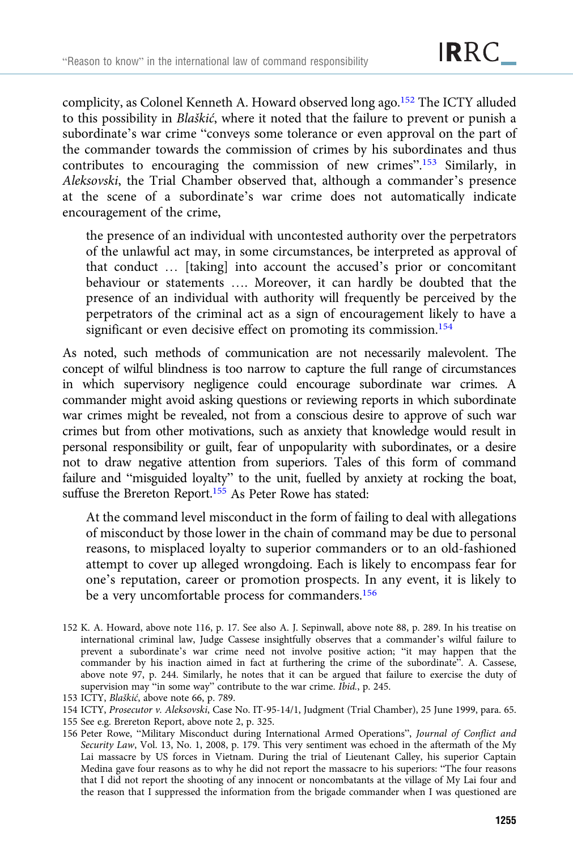complicity, as Colonel Kenneth A. Howard observed long ago.<sup>152</sup> The ICTY alluded to this possibility in Blaškić, where it noted that the failure to prevent or punish a subordinate's war crime "conveys some tolerance or even approval on the part of the commander towards the commission of crimes by his subordinates and thus contributes to encouraging the commission of new crimes".<sup>153</sup> Similarly, in Aleksovski, the Trial Chamber observed that, although a commander's presence at the scene of a subordinate's war crime does not automatically indicate encouragement of the crime,

the presence of an individual with uncontested authority over the perpetrators of the unlawful act may, in some circumstances, be interpreted as approval of that conduct … [taking] into account the accused's prior or concomitant behaviour or statements …. Moreover, it can hardly be doubted that the presence of an individual with authority will frequently be perceived by the perpetrators of the criminal act as a sign of encouragement likely to have a significant or even decisive effect on promoting its commission.<sup>154</sup>

As noted, such methods of communication are not necessarily malevolent. The concept of wilful blindness is too narrow to capture the full range of circumstances in which supervisory negligence could encourage subordinate war crimes. A commander might avoid asking questions or reviewing reports in which subordinate war crimes might be revealed, not from a conscious desire to approve of such war crimes but from other motivations, such as anxiety that knowledge would result in personal responsibility or guilt, fear of unpopularity with subordinates, or a desire not to draw negative attention from superiors. Tales of this form of command failure and "misguided loyalty" to the unit, fuelled by anxiety at rocking the boat, suffuse the Brereton Report.<sup>155</sup> As Peter Rowe has stated:

At the command level misconduct in the form of failing to deal with allegations of misconduct by those lower in the chain of command may be due to personal reasons, to misplaced loyalty to superior commanders or to an old-fashioned attempt to cover up alleged wrongdoing. Each is likely to encompass fear for one's reputation, career or promotion prospects. In any event, it is likely to be a very uncomfortable process for commanders.<sup>156</sup>

- 155 See e.g. Brereton Report, above note 2, p. 325.
- 156 Peter Rowe, "Military Misconduct during International Armed Operations", Journal of Conflict and Security Law, Vol. 13, No. 1, 2008, p. 179. This very sentiment was echoed in the aftermath of the My Lai massacre by US forces in Vietnam. During the trial of Lieutenant Calley, his superior Captain Medina gave four reasons as to why he did not report the massacre to his superiors: "The four reasons that I did not report the shooting of any innocent or noncombatants at the village of My Lai four and the reason that I suppressed the information from the brigade commander when I was questioned are

<sup>152</sup> K. A. Howard, above note 116, p. 17. See also A. J. Sepinwall, above note 88, p. 289. In his treatise on international criminal law, Judge Cassese insightfully observes that a commander's wilful failure to prevent a subordinate's war crime need not involve positive action; "it may happen that the commander by his inaction aimed in fact at furthering the crime of the subordinate". A. Cassese, above note 97, p. 244. Similarly, he notes that it can be argued that failure to exercise the duty of supervision may "in some way" contribute to the war crime. Ibid., p. 245.

<sup>153</sup> ICTY, Blaškić, above note 66, p. 789.

<sup>154</sup> ICTY, Prosecutor v. Aleksovski, Case No. IT-95-14/1, Judgment (Trial Chamber), 25 June 1999, para. 65.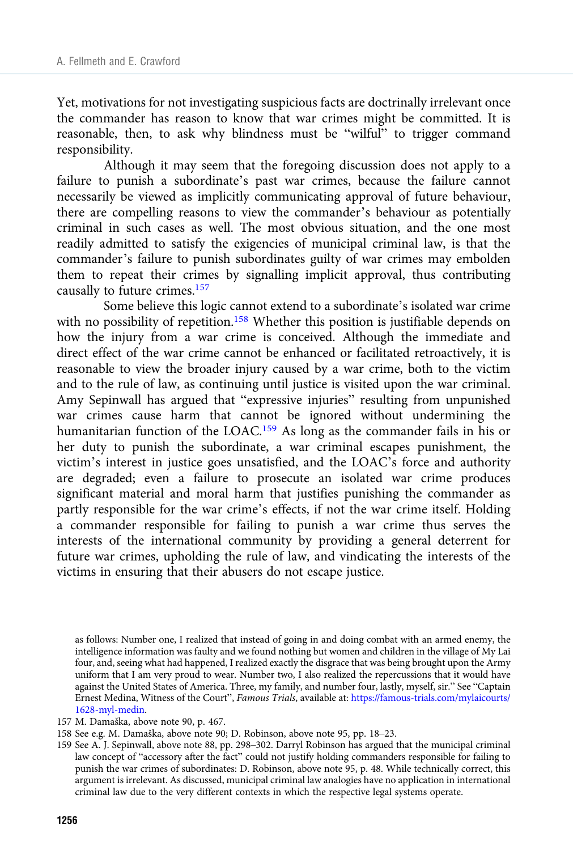Yet, motivations for not investigating suspicious facts are doctrinally irrelevant once the commander has reason to know that war crimes might be committed. It is reasonable, then, to ask why blindness must be "wilful" to trigger command responsibility.

Although it may seem that the foregoing discussion does not apply to a failure to punish a subordinate's past war crimes, because the failure cannot necessarily be viewed as implicitly communicating approval of future behaviour, there are compelling reasons to view the commander's behaviour as potentially criminal in such cases as well. The most obvious situation, and the one most readily admitted to satisfy the exigencies of municipal criminal law, is that the commander's failure to punish subordinates guilty of war crimes may embolden them to repeat their crimes by signalling implicit approval, thus contributing causally to future crimes.157

Some believe this logic cannot extend to a subordinate's isolated war crime with no possibility of repetition.<sup>158</sup> Whether this position is justifiable depends on how the injury from a war crime is conceived. Although the immediate and direct effect of the war crime cannot be enhanced or facilitated retroactively, it is reasonable to view the broader injury caused by a war crime, both to the victim and to the rule of law, as continuing until justice is visited upon the war criminal. Amy Sepinwall has argued that "expressive injuries" resulting from unpunished war crimes cause harm that cannot be ignored without undermining the humanitarian function of the LOAC.<sup>159</sup> As long as the commander fails in his or her duty to punish the subordinate, a war criminal escapes punishment, the victim's interest in justice goes unsatisfied, and the LOAC's force and authority are degraded; even a failure to prosecute an isolated war crime produces significant material and moral harm that justifies punishing the commander as partly responsible for the war crime's effects, if not the war crime itself. Holding a commander responsible for failing to punish a war crime thus serves the interests of the international community by providing a general deterrent for future war crimes, upholding the rule of law, and vindicating the interests of the victims in ensuring that their abusers do not escape justice.

as follows: Number one, I realized that instead of going in and doing combat with an armed enemy, the intelligence information was faulty and we found nothing but women and children in the village of My Lai four, and, seeing what had happened, I realized exactly the disgrace that was being brought upon the Army uniform that I am very proud to wear. Number two, I also realized the repercussions that it would have against the United States of America. Three, my family, and number four, lastly, myself, sir." See "Captain Ernest Medina, Witness of the Court", Famous Trials, available at: [https://famous-trials.com/mylaicourts/](https://famous-trials.com/mylaicourts/1628-myl-medin) [1628-myl-medin.](https://famous-trials.com/mylaicourts/1628-myl-medin)

157 M. Damaška, above note 90, p. 467.

<sup>158</sup> See e.g. M. Damaška, above note 90; D. Robinson, above note 95, pp. 18–23.

<sup>159</sup> See A. J. Sepinwall, above note 88, pp. 298–302. Darryl Robinson has argued that the municipal criminal law concept of "accessory after the fact" could not justify holding commanders responsible for failing to punish the war crimes of subordinates: D. Robinson, above note 95, p. 48. While technically correct, this argument is irrelevant. As discussed, municipal criminal law analogies have no application in international criminal law due to the very different contexts in which the respective legal systems operate.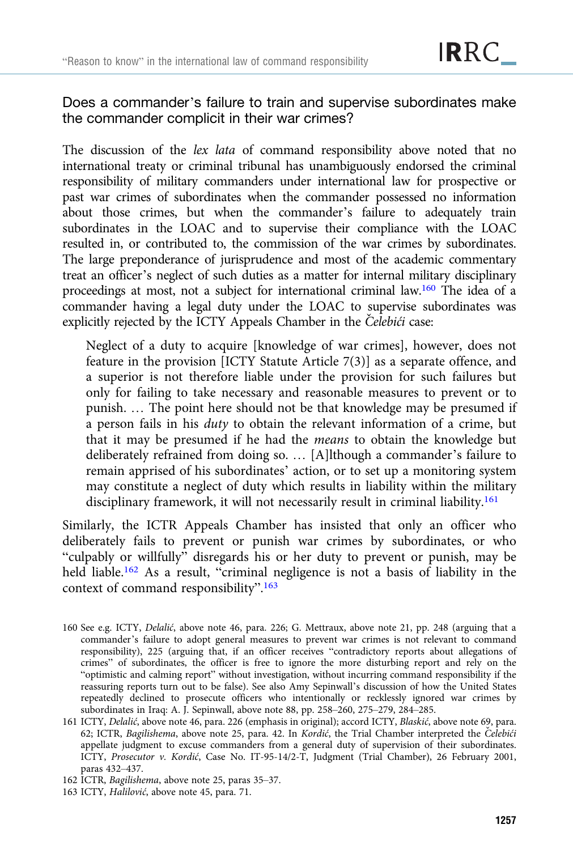## Does a commander's failure to train and supervise subordinates make the commander complicit in their war crimes?

The discussion of the lex lata of command responsibility above noted that no international treaty or criminal tribunal has unambiguously endorsed the criminal responsibility of military commanders under international law for prospective or past war crimes of subordinates when the commander possessed no information about those crimes, but when the commander's failure to adequately train subordinates in the LOAC and to supervise their compliance with the LOAC resulted in, or contributed to, the commission of the war crimes by subordinates. The large preponderance of jurisprudence and most of the academic commentary treat an officer's neglect of such duties as a matter for internal military disciplinary proceedings at most, not a subject for international criminal law.160 The idea of a commander having a legal duty under the LOAC to supervise subordinates was explicitly rejected by the ICTY Appeals Chamber in the Celebići case:

Neglect of a duty to acquire [knowledge of war crimes], however, does not feature in the provision [ICTY Statute Article 7(3)] as a separate offence, and a superior is not therefore liable under the provision for such failures but only for failing to take necessary and reasonable measures to prevent or to punish. … The point here should not be that knowledge may be presumed if a person fails in his duty to obtain the relevant information of a crime, but that it may be presumed if he had the means to obtain the knowledge but deliberately refrained from doing so. … [A]lthough a commander's failure to remain apprised of his subordinates' action, or to set up a monitoring system may constitute a neglect of duty which results in liability within the military disciplinary framework, it will not necessarily result in criminal liability.<sup>161</sup>

Similarly, the ICTR Appeals Chamber has insisted that only an officer who deliberately fails to prevent or punish war crimes by subordinates, or who "culpably or willfully" disregards his or her duty to prevent or punish, may be held liable.<sup>162</sup> As a result, "criminal negligence is not a basis of liability in the context of command responsibility".<sup>163</sup>

<sup>160</sup> See e.g. ICTY, Delalić, above note 46, para. 226; G. Mettraux, above note 21, pp. 248 (arguing that a commander's failure to adopt general measures to prevent war crimes is not relevant to command responsibility), 225 (arguing that, if an officer receives "contradictory reports about allegations of crimes" of subordinates, the officer is free to ignore the more disturbing report and rely on the "optimistic and calming report" without investigation, without incurring command responsibility if the reassuring reports turn out to be false). See also Amy Sepinwall's discussion of how the United States repeatedly declined to prosecute officers who intentionally or recklessly ignored war crimes by subordinates in Iraq: A. J. Sepinwall, above note 88, pp. 258–260, 275–279, 284–285.

<sup>161</sup> ICTY, Delalić, above note 46, para. 226 (emphasis in original); accord ICTY, Blaskić, above note 69, para. 62; ICTR, Bagilishema, above note 25, para. 42. In Kordić, the Trial Chamber interpreted the Čelebići appellate judgment to excuse commanders from a general duty of supervision of their subordinates. ICTY, Prosecutor v. Kordić, Case No. IT-95-14/2-T, Judgment (Trial Chamber), 26 February 2001, paras 432–437.

<sup>162</sup> ICTR, Bagilishema, above note 25, paras 35–37.

<sup>163</sup> ICTY, Halilović, above note 45, para. 71.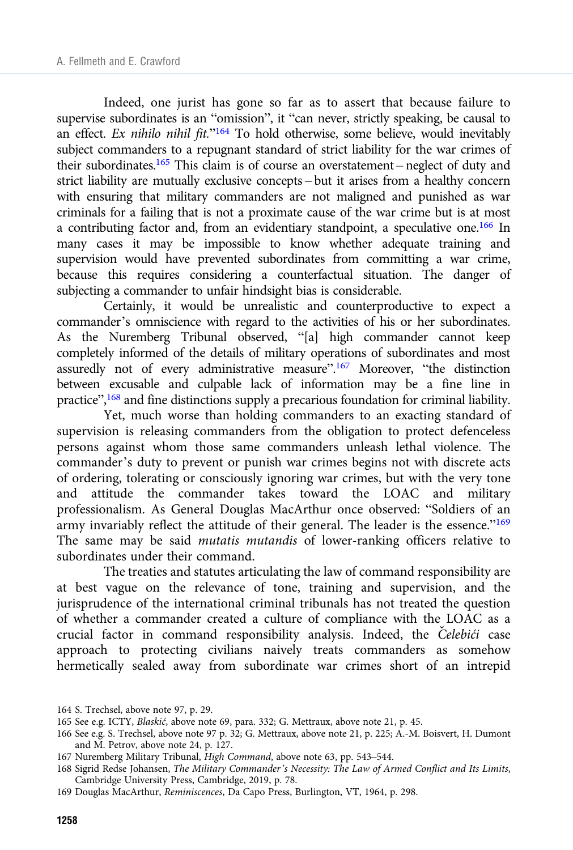Indeed, one jurist has gone so far as to assert that because failure to supervise subordinates is an "omission", it "can never, strictly speaking, be causal to an effect. Ex nihilo nihil fit."<sup>164</sup> To hold otherwise, some believe, would inevitably subject commanders to a repugnant standard of strict liability for the war crimes of their subordinates.<sup>165</sup> This claim is of course an overstatement – neglect of duty and strict liability are mutually exclusive concepts – but it arises from a healthy concern with ensuring that military commanders are not maligned and punished as war criminals for a failing that is not a proximate cause of the war crime but is at most a contributing factor and, from an evidentiary standpoint, a speculative one.166 In many cases it may be impossible to know whether adequate training and supervision would have prevented subordinates from committing a war crime, because this requires considering a counterfactual situation. The danger of subjecting a commander to unfair hindsight bias is considerable.

Certainly, it would be unrealistic and counterproductive to expect a commander's omniscience with regard to the activities of his or her subordinates. As the Nuremberg Tribunal observed, "[a] high commander cannot keep completely informed of the details of military operations of subordinates and most assuredly not of every administrative measure".<sup>167</sup> Moreover, "the distinction between excusable and culpable lack of information may be a fine line in practice",<sup>168</sup> and fine distinctions supply a precarious foundation for criminal liability.

Yet, much worse than holding commanders to an exacting standard of supervision is releasing commanders from the obligation to protect defenceless persons against whom those same commanders unleash lethal violence. The commander's duty to prevent or punish war crimes begins not with discrete acts of ordering, tolerating or consciously ignoring war crimes, but with the very tone and attitude the commander takes toward the LOAC and military professionalism. As General Douglas MacArthur once observed: "Soldiers of an army invariably reflect the attitude of their general. The leader is the essence."<sup>169</sup> The same may be said mutatis mutandis of lower-ranking officers relative to subordinates under their command.

The treaties and statutes articulating the law of command responsibility are at best vague on the relevance of tone, training and supervision, and the jurisprudence of the international criminal tribunals has not treated the question of whether a commander created a culture of compliance with the LOAC as a crucial factor in command responsibility analysis. Indeed, the Čelebići case approach to protecting civilians naively treats commanders as somehow hermetically sealed away from subordinate war crimes short of an intrepid

<sup>164</sup> S. Trechsel, above note 97, p. 29.

<sup>165</sup> See e.g. ICTY, Blaskić, above note 69, para. 332; G. Mettraux, above note 21, p. 45.

<sup>166</sup> See e.g. S. Trechsel, above note 97 p. 32; G. Mettraux, above note 21, p. 225; A.-M. Boisvert, H. Dumont and M. Petrov, above note 24, p. 127.

<sup>167</sup> Nuremberg Military Tribunal, High Command, above note 63, pp. 543–544.

<sup>168</sup> Sigrid Redse Johansen, The Military Commander's Necessity: The Law of Armed Conflict and Its Limits, Cambridge University Press, Cambridge, 2019, p. 78.

<sup>169</sup> Douglas MacArthur, Reminiscences, Da Capo Press, Burlington, VT, 1964, p. 298.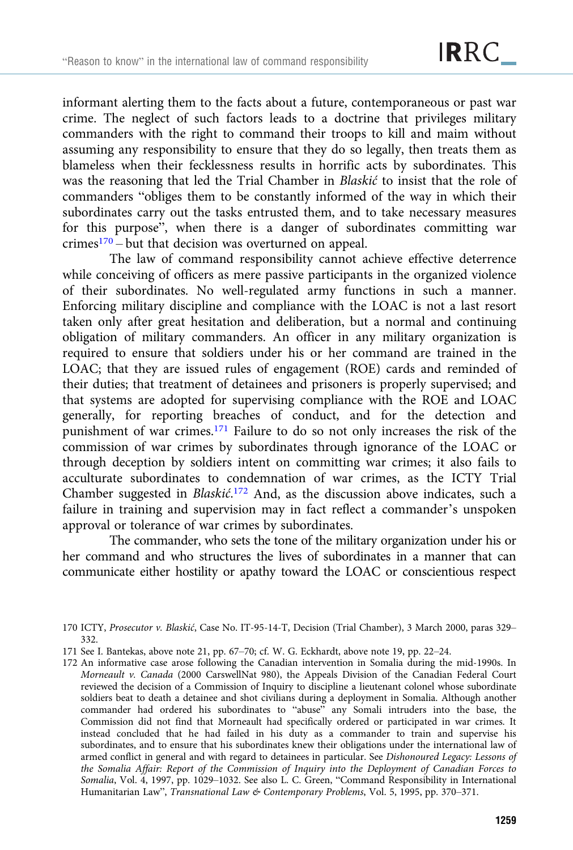informant alerting them to the facts about a future, contemporaneous or past war crime. The neglect of such factors leads to a doctrine that privileges military commanders with the right to command their troops to kill and maim without assuming any responsibility to ensure that they do so legally, then treats them as blameless when their fecklessness results in horrific acts by subordinates. This was the reasoning that led the Trial Chamber in Blaskić to insist that the role of commanders "obliges them to be constantly informed of the way in which their subordinates carry out the tasks entrusted them, and to take necessary measures for this purpose", when there is a danger of subordinates committing war  $c$ rimes<sup>170</sup> – but that decision was overturned on appeal.

The law of command responsibility cannot achieve effective deterrence while conceiving of officers as mere passive participants in the organized violence of their subordinates. No well-regulated army functions in such a manner. Enforcing military discipline and compliance with the LOAC is not a last resort taken only after great hesitation and deliberation, but a normal and continuing obligation of military commanders. An officer in any military organization is required to ensure that soldiers under his or her command are trained in the LOAC; that they are issued rules of engagement (ROE) cards and reminded of their duties; that treatment of detainees and prisoners is properly supervised; and that systems are adopted for supervising compliance with the ROE and LOAC generally, for reporting breaches of conduct, and for the detection and punishment of war crimes.171 Failure to do so not only increases the risk of the commission of war crimes by subordinates through ignorance of the LOAC or through deception by soldiers intent on committing war crimes; it also fails to acculturate subordinates to condemnation of war crimes, as the ICTY Trial Chamber suggested in Blaskić.<sup>172</sup> And, as the discussion above indicates, such a failure in training and supervision may in fact reflect a commander's unspoken approval or tolerance of war crimes by subordinates.

The commander, who sets the tone of the military organization under his or her command and who structures the lives of subordinates in a manner that can communicate either hostility or apathy toward the LOAC or conscientious respect

<sup>170</sup> ICTY, Prosecutor v. Blaskić, Case No. IT-95-14-T, Decision (Trial Chamber), 3 March 2000, paras 329– 332.

<sup>171</sup> See I. Bantekas, above note 21, pp. 67–70; cf. W. G. Eckhardt, above note 19, pp. 22–24.

<sup>172</sup> An informative case arose following the Canadian intervention in Somalia during the mid-1990s. In Morneault v. Canada (2000 CarswellNat 980), the Appeals Division of the Canadian Federal Court reviewed the decision of a Commission of Inquiry to discipline a lieutenant colonel whose subordinate soldiers beat to death a detainee and shot civilians during a deployment in Somalia. Although another commander had ordered his subordinates to "abuse" any Somali intruders into the base, the Commission did not find that Morneault had specifically ordered or participated in war crimes. It instead concluded that he had failed in his duty as a commander to train and supervise his subordinates, and to ensure that his subordinates knew their obligations under the international law of armed conflict in general and with regard to detainees in particular. See Dishonoured Legacy: Lessons of the Somalia Affair: Report of the Commission of Inquiry into the Deployment of Canadian Forces to Somalia, Vol. 4, 1997, pp. 1029–1032. See also L. C. Green, "Command Responsibility in International Humanitarian Law", Transnational Law & Contemporary Problems, Vol. 5, 1995, pp. 370–371.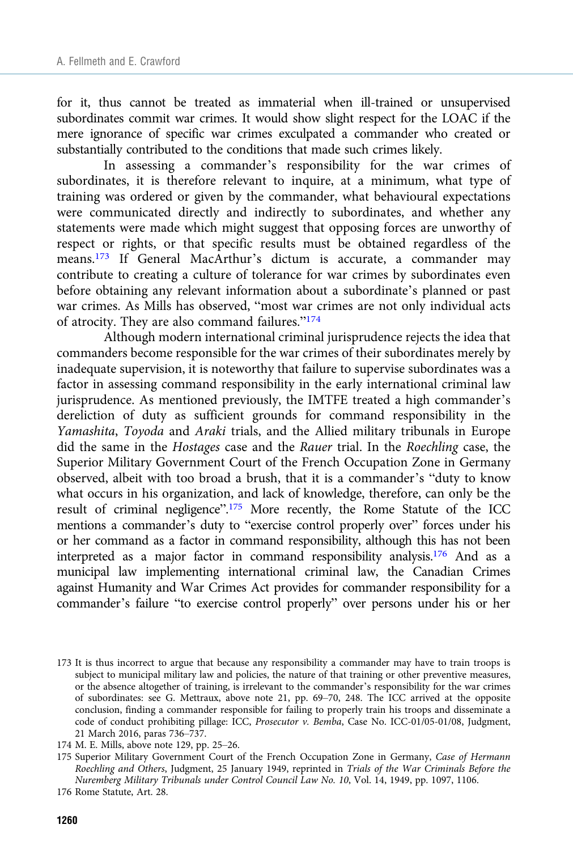for it, thus cannot be treated as immaterial when ill-trained or unsupervised subordinates commit war crimes. It would show slight respect for the LOAC if the mere ignorance of specific war crimes exculpated a commander who created or substantially contributed to the conditions that made such crimes likely.

In assessing a commander's responsibility for the war crimes of subordinates, it is therefore relevant to inquire, at a minimum, what type of training was ordered or given by the commander, what behavioural expectations were communicated directly and indirectly to subordinates, and whether any statements were made which might suggest that opposing forces are unworthy of respect or rights, or that specific results must be obtained regardless of the means.173 If General MacArthur's dictum is accurate, a commander may contribute to creating a culture of tolerance for war crimes by subordinates even before obtaining any relevant information about a subordinate's planned or past war crimes. As Mills has observed, "most war crimes are not only individual acts of atrocity. They are also command failures."<sup>174</sup>

Although modern international criminal jurisprudence rejects the idea that commanders become responsible for the war crimes of their subordinates merely by inadequate supervision, it is noteworthy that failure to supervise subordinates was a factor in assessing command responsibility in the early international criminal law jurisprudence. As mentioned previously, the IMTFE treated a high commander's dereliction of duty as sufficient grounds for command responsibility in the Yamashita, Toyoda and Araki trials, and the Allied military tribunals in Europe did the same in the Hostages case and the Rauer trial. In the Roechling case, the Superior Military Government Court of the French Occupation Zone in Germany observed, albeit with too broad a brush, that it is a commander's "duty to know what occurs in his organization, and lack of knowledge, therefore, can only be the result of criminal negligence".<sup>175</sup> More recently, the Rome Statute of the ICC mentions a commander's duty to "exercise control properly over" forces under his or her command as a factor in command responsibility, although this has not been interpreted as a major factor in command responsibility analysis.176 And as a municipal law implementing international criminal law, the Canadian Crimes against Humanity and War Crimes Act provides for commander responsibility for a commander's failure "to exercise control properly" over persons under his or her

<sup>173</sup> It is thus incorrect to argue that because any responsibility a commander may have to train troops is subject to municipal military law and policies, the nature of that training or other preventive measures, or the absence altogether of training, is irrelevant to the commander's responsibility for the war crimes of subordinates: see G. Mettraux, above note 21, pp. 69–70, 248. The ICC arrived at the opposite conclusion, finding a commander responsible for failing to properly train his troops and disseminate a code of conduct prohibiting pillage: ICC, Prosecutor v. Bemba, Case No. ICC-01/05-01/08, Judgment, 21 March 2016, paras 736–737.

<sup>174</sup> M. E. Mills, above note 129, pp. 25–26.

<sup>175</sup> Superior Military Government Court of the French Occupation Zone in Germany, Case of Hermann Roechling and Others, Judgment, 25 January 1949, reprinted in Trials of the War Criminals Before the Nuremberg Military Tribunals under Control Council Law No. 10, Vol. 14, 1949, pp. 1097, 1106.

<sup>176</sup> Rome Statute, Art. 28.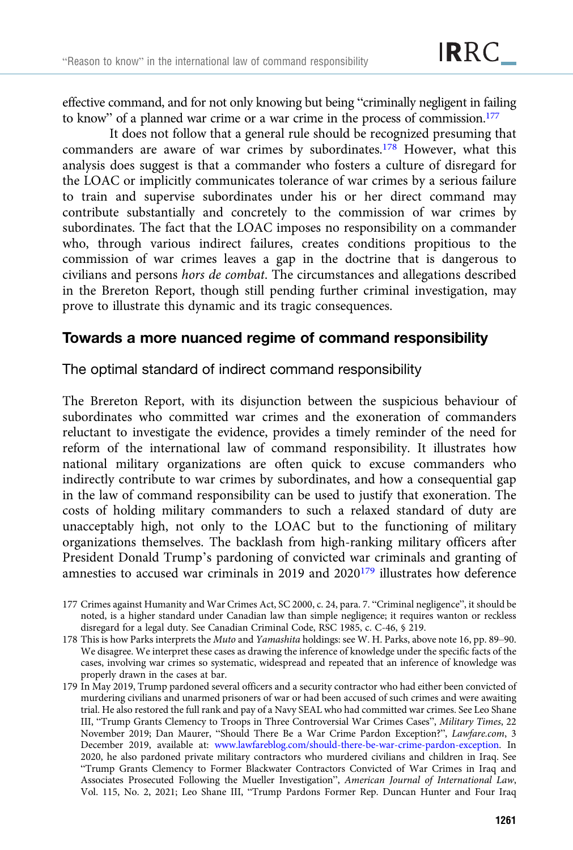effective command, and for not only knowing but being "criminally negligent in failing to know" of a planned war crime or a war crime in the process of commission.<sup>177</sup>

It does not follow that a general rule should be recognized presuming that commanders are aware of war crimes by subordinates.<sup>178</sup> However, what this analysis does suggest is that a commander who fosters a culture of disregard for the LOAC or implicitly communicates tolerance of war crimes by a serious failure to train and supervise subordinates under his or her direct command may contribute substantially and concretely to the commission of war crimes by subordinates. The fact that the LOAC imposes no responsibility on a commander who, through various indirect failures, creates conditions propitious to the commission of war crimes leaves a gap in the doctrine that is dangerous to civilians and persons hors de combat. The circumstances and allegations described in the Brereton Report, though still pending further criminal investigation, may prove to illustrate this dynamic and its tragic consequences.

## Towards a more nuanced regime of command responsibility

The optimal standard of indirect command responsibility

The Brereton Report, with its disjunction between the suspicious behaviour of subordinates who committed war crimes and the exoneration of commanders reluctant to investigate the evidence, provides a timely reminder of the need for reform of the international law of command responsibility. It illustrates how national military organizations are often quick to excuse commanders who indirectly contribute to war crimes by subordinates, and how a consequential gap in the law of command responsibility can be used to justify that exoneration. The costs of holding military commanders to such a relaxed standard of duty are unacceptably high, not only to the LOAC but to the functioning of military organizations themselves. The backlash from high-ranking military officers after President Donald Trump's pardoning of convicted war criminals and granting of amnesties to accused war criminals in 2019 and 2020<sup>179</sup> illustrates how deference

<sup>177</sup> Crimes against Humanity and War Crimes Act, SC 2000, c. 24, para. 7. "Criminal negligence", it should be noted, is a higher standard under Canadian law than simple negligence; it requires wanton or reckless disregard for a legal duty. See Canadian Criminal Code, RSC 1985, c. C-46, § 219.

<sup>178</sup> This is how Parks interprets the Muto and Yamashita holdings: see W. H. Parks, above note 16, pp. 89–90. We disagree. We interpret these cases as drawing the inference of knowledge under the specific facts of the cases, involving war crimes so systematic, widespread and repeated that an inference of knowledge was properly drawn in the cases at bar.

<sup>179</sup> In May 2019, Trump pardoned several officers and a security contractor who had either been convicted of murdering civilians and unarmed prisoners of war or had been accused of such crimes and were awaiting trial. He also restored the full rank and pay of a Navy SEAL who had committed war crimes. See Leo Shane III, "Trump Grants Clemency to Troops in Three Controversial War Crimes Cases", Military Times, 22 November 2019; Dan Maurer, "Should There Be a War Crime Pardon Exception?", Lawfare.com, 3 December 2019, available at: [www.lawfareblog.com/should-there-be-war-crime-pardon-exception.](https://www.lawfareblog.com/should-there-be-war-crime-pardon-exception) In 2020, he also pardoned private military contractors who murdered civilians and children in Iraq. See "Trump Grants Clemency to Former Blackwater Contractors Convicted of War Crimes in Iraq and Associates Prosecuted Following the Mueller Investigation", American Journal of International Law, Vol. 115, No. 2, 2021; Leo Shane III, "Trump Pardons Former Rep. Duncan Hunter and Four Iraq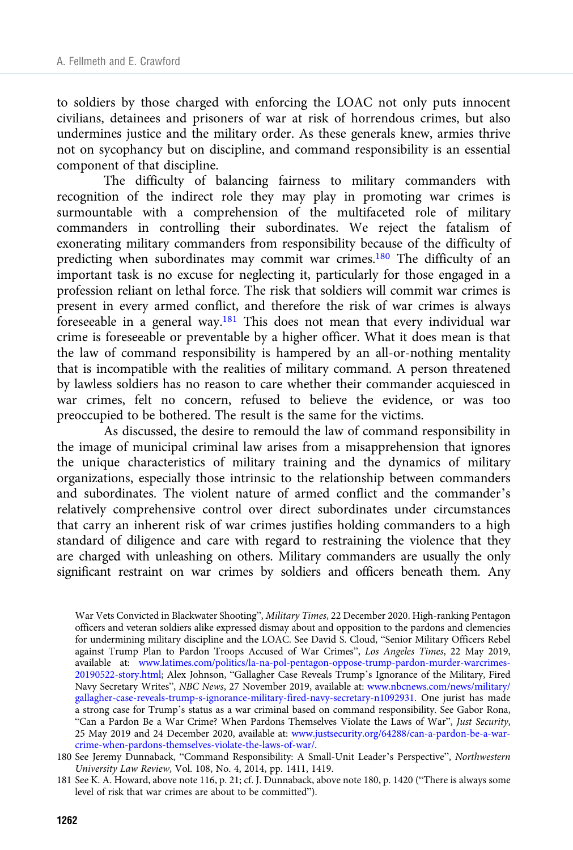to soldiers by those charged with enforcing the LOAC not only puts innocent civilians, detainees and prisoners of war at risk of horrendous crimes, but also undermines justice and the military order. As these generals knew, armies thrive not on sycophancy but on discipline, and command responsibility is an essential component of that discipline.

The difficulty of balancing fairness to military commanders with recognition of the indirect role they may play in promoting war crimes is surmountable with a comprehension of the multifaceted role of military commanders in controlling their subordinates. We reject the fatalism of exonerating military commanders from responsibility because of the difficulty of predicting when subordinates may commit war crimes.<sup>180</sup> The difficulty of an important task is no excuse for neglecting it, particularly for those engaged in a profession reliant on lethal force. The risk that soldiers will commit war crimes is present in every armed conflict, and therefore the risk of war crimes is always foreseeable in a general way.181 This does not mean that every individual war crime is foreseeable or preventable by a higher officer. What it does mean is that the law of command responsibility is hampered by an all-or-nothing mentality that is incompatible with the realities of military command. A person threatened by lawless soldiers has no reason to care whether their commander acquiesced in war crimes, felt no concern, refused to believe the evidence, or was too preoccupied to be bothered. The result is the same for the victims.

As discussed, the desire to remould the law of command responsibility in the image of municipal criminal law arises from a misapprehension that ignores the unique characteristics of military training and the dynamics of military organizations, especially those intrinsic to the relationship between commanders and subordinates. The violent nature of armed conflict and the commander's relatively comprehensive control over direct subordinates under circumstances that carry an inherent risk of war crimes justifies holding commanders to a high standard of diligence and care with regard to restraining the violence that they are charged with unleashing on others. Military commanders are usually the only significant restraint on war crimes by soldiers and officers beneath them. Any

War Vets Convicted in Blackwater Shooting", Military Times, 22 December 2020. High-ranking Pentagon officers and veteran soldiers alike expressed dismay about and opposition to the pardons and clemencies for undermining military discipline and the LOAC. See David S. Cloud, "Senior Military Officers Rebel against Trump Plan to Pardon Troops Accused of War Crimes", Los Angeles Times, 22 May 2019, available at: [www.latimes.com/politics/la-na-pol-pentagon-oppose-trump-pardon-murder-warcrimes-](https://www.latimes.com/politics/la-na-pol-pentagon-oppose-trump-pardon-murder-warcrimes-20190522-story.html)[20190522-story.html;](https://www.latimes.com/politics/la-na-pol-pentagon-oppose-trump-pardon-murder-warcrimes-20190522-story.html) Alex Johnson, "Gallagher Case Reveals Trump's Ignorance of the Military, Fired Navy Secretary Writes", NBC News, 27 November 2019, available at: [www.nbcnews.com/news/military/](https://www.nbcnews.com/news/military/gallagher-case-reveals-trump-s-ignorance-military-fired-navy-secretary-n1092931) [gallagher-case-reveals-trump-s-ignorance-military-fired-navy-secretary-n1092931.](https://www.nbcnews.com/news/military/gallagher-case-reveals-trump-s-ignorance-military-fired-navy-secretary-n1092931) One jurist has made a strong case for Trump's status as a war criminal based on command responsibility. See Gabor Rona, "Can a Pardon Be a War Crime? When Pardons Themselves Violate the Laws of War", Just Security, 25 May 2019 and 24 December 2020, available at: [www.justsecurity.org/64288/can-a-pardon-be-a-war](https://www.justsecurity.org/64288/can-a-pardon-be-a-war-crime-when-pardons-themselves-violate-the-laws-of-war/)[crime-when-pardons-themselves-violate-the-laws-of-war/](https://www.justsecurity.org/64288/can-a-pardon-be-a-war-crime-when-pardons-themselves-violate-the-laws-of-war/).

<sup>180</sup> See Jeremy Dunnaback, "Command Responsibility: A Small-Unit Leader's Perspective", Northwestern University Law Review, Vol. 108, No. 4, 2014, pp. 1411, 1419.

<sup>181</sup> See K. A. Howard, above note 116, p. 21; cf. J. Dunnaback, above note 180, p. 1420 ("There is always some level of risk that war crimes are about to be committed").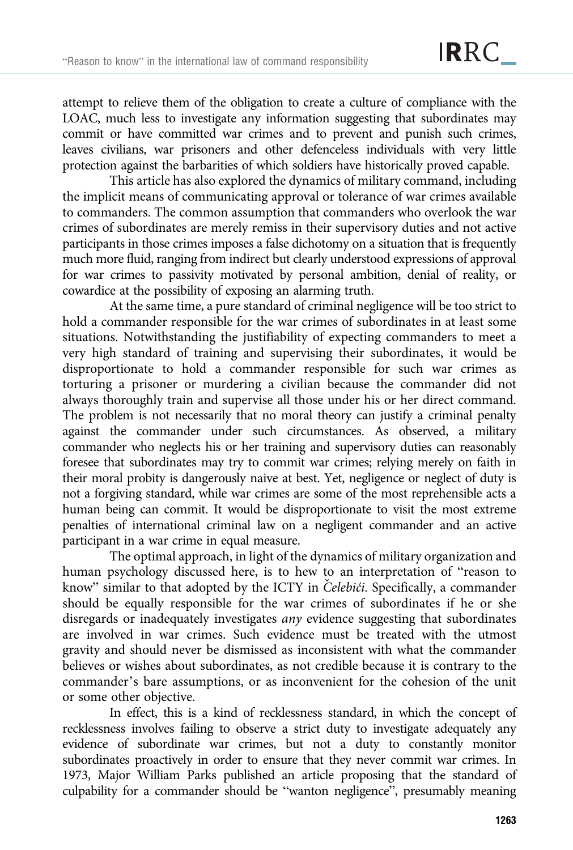attempt to relieve them of the obligation to create a culture of compliance with the LOAC, much less to investigate any information suggesting that subordinates may commit or have committed war crimes and to prevent and punish such crimes, leaves civilians, war prisoners and other defenceless individuals with very little protection against the barbarities of which soldiers have historically proved capable.

This article has also explored the dynamics of military command, including the implicit means of communicating approval or tolerance of war crimes available to commanders. The common assumption that commanders who overlook the war crimes of subordinates are merely remiss in their supervisory duties and not active participants in those crimes imposes a false dichotomy on a situation that is frequently much more fluid, ranging from indirect but clearly understood expressions of approval for war crimes to passivity motivated by personal ambition, denial of reality, or cowardice at the possibility of exposing an alarming truth.

At the same time, a pure standard of criminal negligence will be too strict to hold a commander responsible for the war crimes of subordinates in at least some situations. Notwithstanding the justifiability of expecting commanders to meet a very high standard of training and supervising their subordinates, it would be disproportionate to hold a commander responsible for such war crimes as torturing a prisoner or murdering a civilian because the commander did not always thoroughly train and supervise all those under his or her direct command. The problem is not necessarily that no moral theory can justify a criminal penalty against the commander under such circumstances. As observed, a military commander who neglects his or her training and supervisory duties can reasonably foresee that subordinates may try to commit war crimes; relying merely on faith in their moral probity is dangerously naive at best. Yet, negligence or neglect of duty is not a forgiving standard, while war crimes are some of the most reprehensible acts a human being can commit. It would be disproportionate to visit the most extreme penalties of international criminal law on a negligent commander and an active participant in a war crime in equal measure.

The optimal approach, in light of the dynamics of military organization and human psychology discussed here, is to hew to an interpretation of "reason to know" similar to that adopted by the ICTY in Čelebići. Specifically, a commander should be equally responsible for the war crimes of subordinates if he or she disregards or inadequately investigates any evidence suggesting that subordinates are involved in war crimes. Such evidence must be treated with the utmost gravity and should never be dismissed as inconsistent with what the commander believes or wishes about subordinates, as not credible because it is contrary to the commander's bare assumptions, or as inconvenient for the cohesion of the unit or some other objective.

In effect, this is a kind of recklessness standard, in which the concept of recklessness involves failing to observe a strict duty to investigate adequately any evidence of subordinate war crimes, but not a duty to constantly monitor subordinates proactively in order to ensure that they never commit war crimes. In 1973, Major William Parks published an article proposing that the standard of culpability for a commander should be "wanton negligence", presumably meaning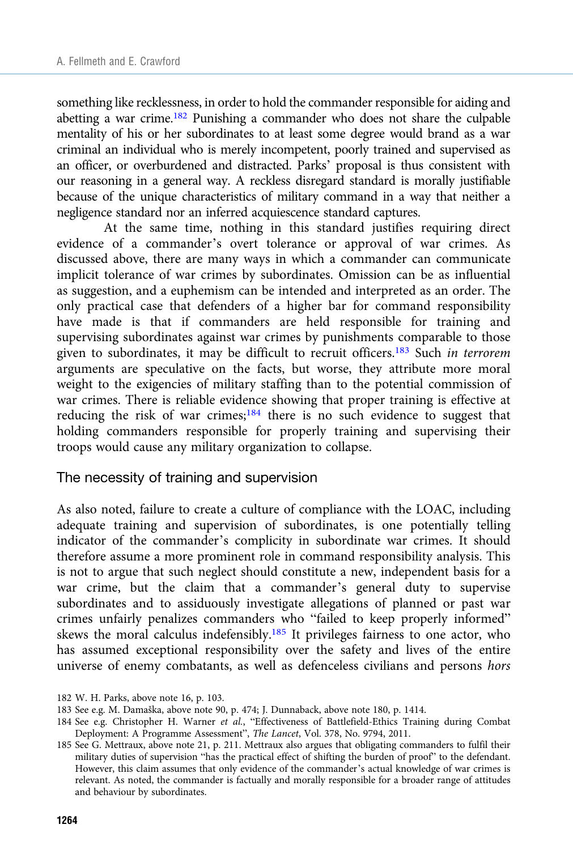something like recklessness, in order to hold the commander responsible for aiding and abetting a war crime.182 Punishing a commander who does not share the culpable mentality of his or her subordinates to at least some degree would brand as a war criminal an individual who is merely incompetent, poorly trained and supervised as an officer, or overburdened and distracted. Parks' proposal is thus consistent with our reasoning in a general way. A reckless disregard standard is morally justifiable because of the unique characteristics of military command in a way that neither a negligence standard nor an inferred acquiescence standard captures.

At the same time, nothing in this standard justifies requiring direct evidence of a commander's overt tolerance or approval of war crimes. As discussed above, there are many ways in which a commander can communicate implicit tolerance of war crimes by subordinates. Omission can be as influential as suggestion, and a euphemism can be intended and interpreted as an order. The only practical case that defenders of a higher bar for command responsibility have made is that if commanders are held responsible for training and supervising subordinates against war crimes by punishments comparable to those given to subordinates, it may be difficult to recruit officers.<sup>183</sup> Such in terrorem arguments are speculative on the facts, but worse, they attribute more moral weight to the exigencies of military staffing than to the potential commission of war crimes. There is reliable evidence showing that proper training is effective at reducing the risk of war crimes;<sup>184</sup> there is no such evidence to suggest that holding commanders responsible for properly training and supervising their troops would cause any military organization to collapse.

#### The necessity of training and supervision

As also noted, failure to create a culture of compliance with the LOAC, including adequate training and supervision of subordinates, is one potentially telling indicator of the commander's complicity in subordinate war crimes. It should therefore assume a more prominent role in command responsibility analysis. This is not to argue that such neglect should constitute a new, independent basis for a war crime, but the claim that a commander's general duty to supervise subordinates and to assiduously investigate allegations of planned or past war crimes unfairly penalizes commanders who "failed to keep properly informed" skews the moral calculus indefensibly.<sup>185</sup> It privileges fairness to one actor, who has assumed exceptional responsibility over the safety and lives of the entire universe of enemy combatants, as well as defenceless civilians and persons hors

<sup>182</sup> W. H. Parks, above note 16, p. 103.

<sup>183</sup> See e.g. M. Damaška, above note 90, p. 474; J. Dunnaback, above note 180, p. 1414.

<sup>184</sup> See e.g. Christopher H. Warner et al., "Effectiveness of Battlefield-Ethics Training during Combat Deployment: A Programme Assessment", The Lancet, Vol. 378, No. 9794, 2011.

<sup>185</sup> See G. Mettraux, above note 21, p. 211. Mettraux also argues that obligating commanders to fulfil their military duties of supervision "has the practical effect of shifting the burden of proof" to the defendant. However, this claim assumes that only evidence of the commander's actual knowledge of war crimes is relevant. As noted, the commander is factually and morally responsible for a broader range of attitudes and behaviour by subordinates.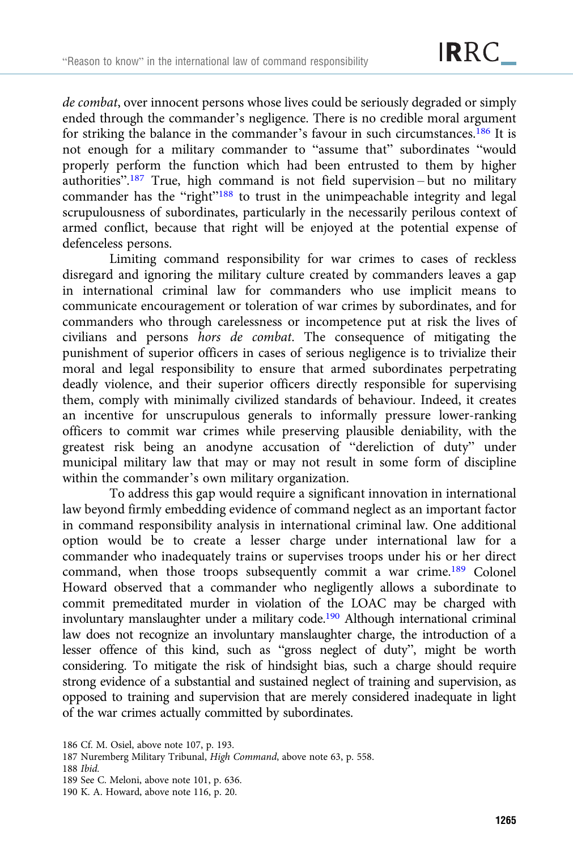de combat, over innocent persons whose lives could be seriously degraded or simply ended through the commander's negligence. There is no credible moral argument for striking the balance in the commander's favour in such circumstances.<sup>186</sup> It is not enough for a military commander to "assume that" subordinates "would properly perform the function which had been entrusted to them by higher authorities".<sup>187</sup> True, high command is not field supervision-but no military commander has the "right"<sup>188</sup> to trust in the unimpeachable integrity and legal scrupulousness of subordinates, particularly in the necessarily perilous context of armed conflict, because that right will be enjoyed at the potential expense of defenceless persons.

Limiting command responsibility for war crimes to cases of reckless disregard and ignoring the military culture created by commanders leaves a gap in international criminal law for commanders who use implicit means to communicate encouragement or toleration of war crimes by subordinates, and for commanders who through carelessness or incompetence put at risk the lives of civilians and persons hors de combat. The consequence of mitigating the punishment of superior officers in cases of serious negligence is to trivialize their moral and legal responsibility to ensure that armed subordinates perpetrating deadly violence, and their superior officers directly responsible for supervising them, comply with minimally civilized standards of behaviour. Indeed, it creates an incentive for unscrupulous generals to informally pressure lower-ranking officers to commit war crimes while preserving plausible deniability, with the greatest risk being an anodyne accusation of "dereliction of duty" under municipal military law that may or may not result in some form of discipline within the commander's own military organization.

To address this gap would require a significant innovation in international law beyond firmly embedding evidence of command neglect as an important factor in command responsibility analysis in international criminal law. One additional option would be to create a lesser charge under international law for a commander who inadequately trains or supervises troops under his or her direct command, when those troops subsequently commit a war crime.189 Colonel Howard observed that a commander who negligently allows a subordinate to commit premeditated murder in violation of the LOAC may be charged with involuntary manslaughter under a military code.<sup>190</sup> Although international criminal law does not recognize an involuntary manslaughter charge, the introduction of a lesser offence of this kind, such as "gross neglect of duty", might be worth considering. To mitigate the risk of hindsight bias, such a charge should require strong evidence of a substantial and sustained neglect of training and supervision, as opposed to training and supervision that are merely considered inadequate in light of the war crimes actually committed by subordinates.

<sup>186</sup> Cf. M. Osiel, above note 107, p. 193.

<sup>187</sup> Nuremberg Military Tribunal, High Command, above note 63, p. 558.

<sup>188</sup> Ibid.

<sup>189</sup> See C. Meloni, above note 101, p. 636.

<sup>190</sup> K. A. Howard, above note 116, p. 20.